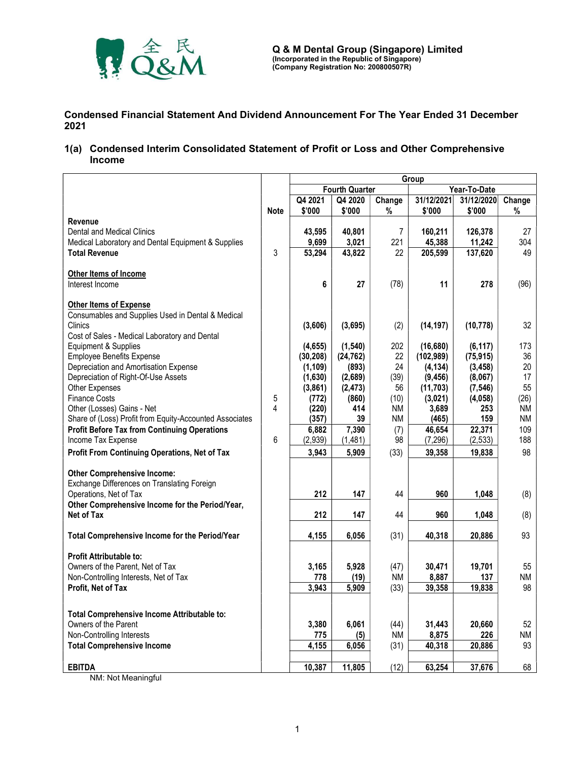

Condensed Financial Statement And Dividend Announcement For The Year Ended 31 December 2021

1(a) Condensed Interim Consolidated Statement of Profit or Loss and Other Comprehensive Income

|                                                                       |             | Group                                 |           |                |            |            |           |
|-----------------------------------------------------------------------|-------------|---------------------------------------|-----------|----------------|------------|------------|-----------|
|                                                                       |             | <b>Fourth Quarter</b><br>Year-To-Date |           |                |            |            |           |
|                                                                       |             | Q4 2021                               | Q4 2020   | Change         | 31/12/2021 | 31/12/2020 | Change    |
|                                                                       | <b>Note</b> | \$'000                                | \$'000    | %              | \$'000     | \$'000     | %         |
| <b>Revenue</b>                                                        |             |                                       |           |                |            |            |           |
| <b>Dental and Medical Clinics</b>                                     |             | 43,595                                | 40,801    | $\overline{7}$ | 160,211    | 126,378    | 27        |
| Medical Laboratory and Dental Equipment & Supplies                    |             | 9,699                                 | 3,021     | 221            | 45,388     | 11,242     | 304       |
| <b>Total Revenue</b>                                                  | 3           | 53,294                                | 43,822    | 22             | 205,599    | 137,620    | 49        |
|                                                                       |             |                                       |           |                |            |            |           |
| Other Items of Income                                                 |             |                                       |           |                |            |            |           |
| Interest Income                                                       |             | 6                                     | 27        | (78)           | 11         | 278        | (96)      |
|                                                                       |             |                                       |           |                |            |            |           |
| <b>Other Items of Expense</b>                                         |             |                                       |           |                |            |            |           |
| Consumables and Supplies Used in Dental & Medical                     |             |                                       |           |                |            |            |           |
| Clinics                                                               |             | (3,606)                               | (3,695)   | (2)            | (14, 197)  | (10, 778)  | 32        |
| Cost of Sales - Medical Laboratory and Dental                         |             |                                       |           |                |            |            |           |
| Equipment & Supplies                                                  |             | (4,655)                               | (1, 540)  | 202            | (16, 680)  | (6, 117)   | 173       |
| <b>Employee Benefits Expense</b>                                      |             | (30, 208)                             | (24, 762) | 22             | (102, 989) | (75, 915)  | 36        |
| Depreciation and Amortisation Expense                                 |             | (1, 109)                              | (893)     | 24             | (4, 134)   | (3, 458)   | 20        |
| Depreciation of Right-Of-Use Assets                                   |             | (1,630)                               | (2,689)   | (39)           | (9, 456)   | (8,067)    | 17        |
| Other Expenses                                                        |             | (3,861)                               | (2, 473)  | 56             | (11, 703)  | (7, 546)   | 55        |
| <b>Finance Costs</b>                                                  | 5           | (772)                                 | (860)     | (10)           | (3,021)    | (4,058)    | (26)      |
| Other (Losses) Gains - Net                                            | 4           | (220)                                 | 414       | ΝM             | 3,689      | 253        | <b>NM</b> |
| Share of (Loss) Profit from Equity-Accounted Associates               |             | (357)                                 | 39        | ΝM             | (465)      | 159        | NM.       |
| <b>Profit Before Tax from Continuing Operations</b>                   |             | 6,882                                 | 7,390     | (7)            | 46,654     | 22,371     | 109       |
| Income Tax Expense                                                    | 6           | (2,939)                               | (1,481)   | 98             | (7, 296)   | (2, 533)   | 188       |
| Profit From Continuing Operations, Net of Tax                         |             | 3.943                                 | 5,909     | (33)           | 39,358     | 19,838     | 98        |
|                                                                       |             |                                       |           |                |            |            |           |
| <b>Other Comprehensive Income:</b>                                    |             |                                       |           |                |            |            |           |
| Exchange Differences on Translating Foreign<br>Operations, Net of Tax |             | 212                                   |           | 44             | 960        |            |           |
|                                                                       |             |                                       | 147       |                |            | 1,048      | (8)       |
| Other Comprehensive Income for the Period/Year,<br>Net of Tax         |             | 212                                   |           | 44             | 960        |            |           |
|                                                                       |             |                                       | 147       |                |            | 1,048      | (8)       |
| Total Comprehensive Income for the Period/Year                        |             | 4,155                                 | 6,056     | (31)           | 40,318     | 20,886     | 93        |
|                                                                       |             |                                       |           |                |            |            |           |
| <b>Profit Attributable to:</b>                                        |             |                                       |           |                |            |            |           |
| Owners of the Parent, Net of Tax                                      |             | 3,165                                 | 5,928     | (47)           | 30,471     | 19,701     | 55        |
| Non-Controlling Interests, Net of Tax                                 |             | 778                                   | (19)      | <b>NM</b>      | 8,887      | 137        | NM        |
| Profit, Net of Tax                                                    |             | 3,943                                 | 5,909     | (33)           | 39,358     | 19,838     | 98        |
|                                                                       |             |                                       |           |                |            |            |           |
| Total Comprehensive Income Attributable to:                           |             |                                       |           |                |            |            |           |
| Owners of the Parent                                                  |             | 3,380                                 | 6,061     | (44)           | 31,443     | 20,660     | 52        |
| Non-Controlling Interests                                             |             | 775                                   | (5)       | <b>NM</b>      | 8,875      | 226        | ΝM        |
| <b>Total Comprehensive Income</b>                                     |             | 4,155                                 | 6,056     | (31)           | 40,318     | 20,886     | 93        |
|                                                                       |             |                                       |           |                |            |            |           |
| <b>EBITDA</b>                                                         |             | 10,387                                | 11,805    | (12)           | 63,254     | 37,676     | 68        |

NM: Not Meaningful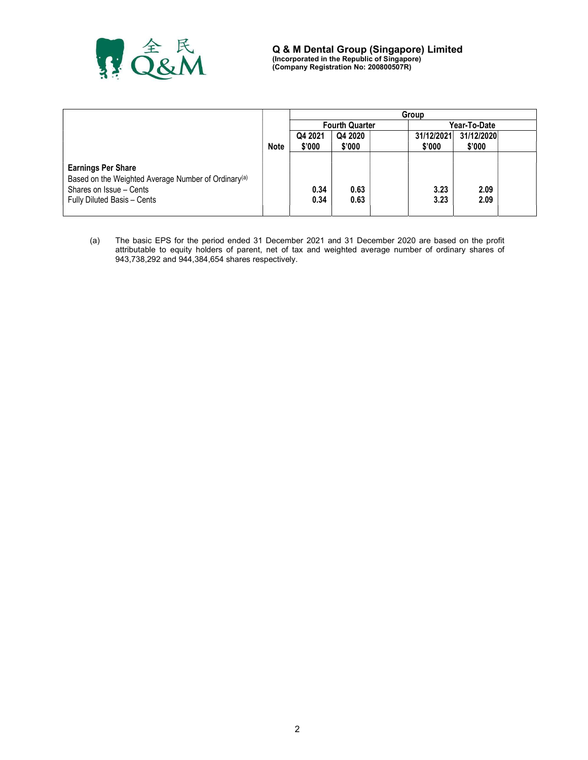

|                                                                 |             |         |                       | Group      |                 |  |
|-----------------------------------------------------------------|-------------|---------|-----------------------|------------|-----------------|--|
|                                                                 |             |         | <b>Fourth Quarter</b> |            | Year-To-Date    |  |
|                                                                 |             | Q4 2021 | Q4 2020               | 31/12/2021 | 31/12/2020      |  |
|                                                                 | <b>Note</b> | \$'000  | \$'000                | \$'000     | $$^{\prime}000$ |  |
|                                                                 |             |         |                       |            |                 |  |
| <b>Earnings Per Share</b>                                       |             |         |                       |            |                 |  |
| Based on the Weighted Average Number of Ordinary <sup>(a)</sup> |             |         |                       |            |                 |  |
| Shares on Issue - Cents                                         |             | 0.34    | 0.63                  | 3.23       | 2.09            |  |
| Fully Diluted Basis - Cents                                     |             | 0.34    | 0.63                  | 3.23       | 2.09            |  |
|                                                                 |             |         |                       |            |                 |  |

(a) The basic EPS for the period ended 31 December 2021 and 31 December 2020 are based on the profit attributable to equity holders of parent, net of tax and weighted average number of ordinary shares of 943,738,292 and 944,384,654 shares respectively.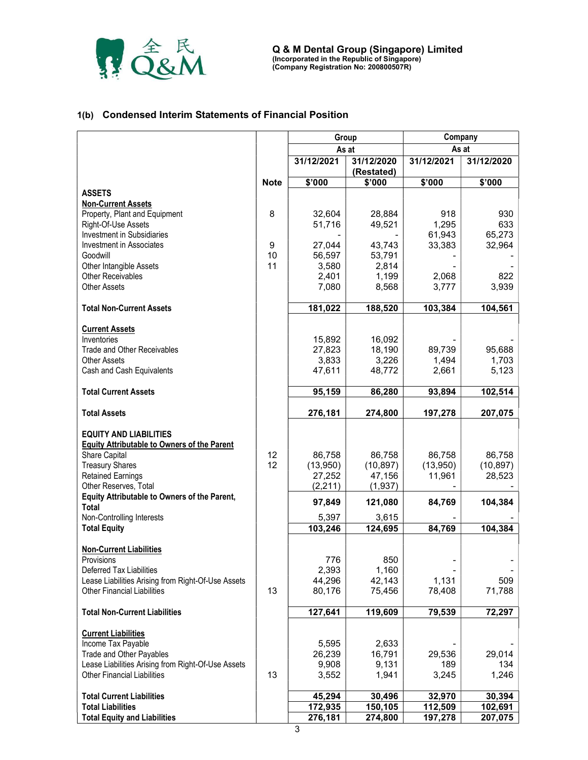

### 1(b) Condensed Interim Statements of Financial Position

|                                                                                          |             | Group           |                          | Company          |                  |  |
|------------------------------------------------------------------------------------------|-------------|-----------------|--------------------------|------------------|------------------|--|
|                                                                                          |             | As at           |                          | As at            |                  |  |
|                                                                                          |             | 31/12/2021      | 31/12/2020<br>(Restated) | 31/12/2021       | 31/12/2020       |  |
|                                                                                          | <b>Note</b> | \$'000          | \$'000                   | \$'000           | \$'000           |  |
| <b>ASSETS</b>                                                                            |             |                 |                          |                  |                  |  |
| <b>Non-Current Assets</b>                                                                |             |                 |                          |                  |                  |  |
| Property, Plant and Equipment                                                            | 8           | 32,604          | 28,884                   | 918              | 930              |  |
| Right-Of-Use Assets                                                                      |             | 51,716          | 49,521                   | 1,295            | 633              |  |
| <b>Investment in Subsidiaries</b><br><b>Investment in Associates</b>                     | 9           | 27,044          | 43,743                   | 61,943<br>33,383 | 65,273<br>32,964 |  |
| Goodwill                                                                                 | 10          | 56,597          | 53,791                   |                  |                  |  |
| Other Intangible Assets                                                                  | 11          | 3,580           | 2,814                    |                  |                  |  |
| <b>Other Receivables</b>                                                                 |             | 2,401           | 1,199                    | 2,068            | 822              |  |
| <b>Other Assets</b>                                                                      |             | 7,080           | 8,568                    | 3,777            | 3,939            |  |
| <b>Total Non-Current Assets</b>                                                          |             | 181,022         | 188,520                  | 103,384          | 104,561          |  |
|                                                                                          |             |                 |                          |                  |                  |  |
| <b>Current Assets</b>                                                                    |             |                 |                          |                  |                  |  |
| Inventories                                                                              |             | 15,892          | 16,092                   |                  |                  |  |
| <b>Trade and Other Receivables</b><br><b>Other Assets</b>                                |             | 27,823          | 18,190<br>3,226          | 89,739<br>1,494  | 95,688           |  |
| Cash and Cash Equivalents                                                                |             | 3,833<br>47,611 | 48,772                   | 2,661            | 1,703<br>5,123   |  |
|                                                                                          |             |                 |                          |                  |                  |  |
| <b>Total Current Assets</b>                                                              |             | 95,159          | 86,280                   | 93,894           | 102,514          |  |
| <b>Total Assets</b>                                                                      |             | 276,181         | 274,800                  | 197,278          | 207,075          |  |
| <b>EQUITY AND LIABILITIES</b>                                                            |             |                 |                          |                  |                  |  |
| <b>Equity Attributable to Owners of the Parent</b>                                       |             |                 |                          |                  |                  |  |
| Share Capital                                                                            | 12          | 86,758          | 86,758                   | 86,758           | 86,758           |  |
| <b>Treasury Shares</b>                                                                   | 12          | (13,950)        | (10, 897)                | (13,950)         | (10, 897)        |  |
| <b>Retained Earnings</b>                                                                 |             | 27,252          | 47,156                   | 11,961           | 28,523           |  |
| Other Reserves, Total                                                                    |             | (2, 211)        | (1, 937)                 |                  |                  |  |
| Equity Attributable to Owners of the Parent,<br><b>Total</b>                             |             | 97,849          | 121,080                  | 84,769           | 104,384          |  |
| Non-Controlling Interests                                                                |             | 5,397           | 3,615                    |                  |                  |  |
| <b>Total Equity</b>                                                                      |             | 103,246         | 124,695                  | 84,769           | 104,384          |  |
| <b>Non-Current Liabilities</b>                                                           |             |                 |                          |                  |                  |  |
| Provisions                                                                               |             | 776             | 850                      |                  |                  |  |
| Deferred Tax Liabilities                                                                 |             | 2,393           | 1,160                    |                  |                  |  |
| Lease Liabilities Arising from Right-Of-Use Assets                                       |             | 44,296          | 42,143                   | 1,131            | 509              |  |
| <b>Other Financial Liabilities</b>                                                       | 13          | 80,176          | 75,456                   | 78,408           | 71,788           |  |
| <b>Total Non-Current Liabilities</b>                                                     |             | 127,641         | 119,609                  | 79,539           | 72,297           |  |
|                                                                                          |             |                 |                          |                  |                  |  |
| <b>Current Liabilities</b>                                                               |             |                 |                          |                  |                  |  |
| Income Tax Payable                                                                       |             | 5,595           | 2,633                    |                  |                  |  |
| Trade and Other Payables                                                                 |             | 26,239          | 16,791                   | 29,536           | 29,014           |  |
| Lease Liabilities Arising from Right-Of-Use Assets<br><b>Other Financial Liabilities</b> | 13          | 9,908<br>3,552  | 9,131<br>1,941           | 189<br>3,245     | 134<br>1,246     |  |
|                                                                                          |             |                 |                          |                  |                  |  |
| <b>Total Current Liabilities</b>                                                         |             | 45,294          | 30,496                   | 32,970           | 30,394           |  |
| <b>Total Liabilities</b>                                                                 |             | 172,935         | 150,105                  | 112,509          | 102,691          |  |
| <b>Total Equity and Liabilities</b>                                                      |             | 276,181         | 274,800                  | 197,278          | 207,075          |  |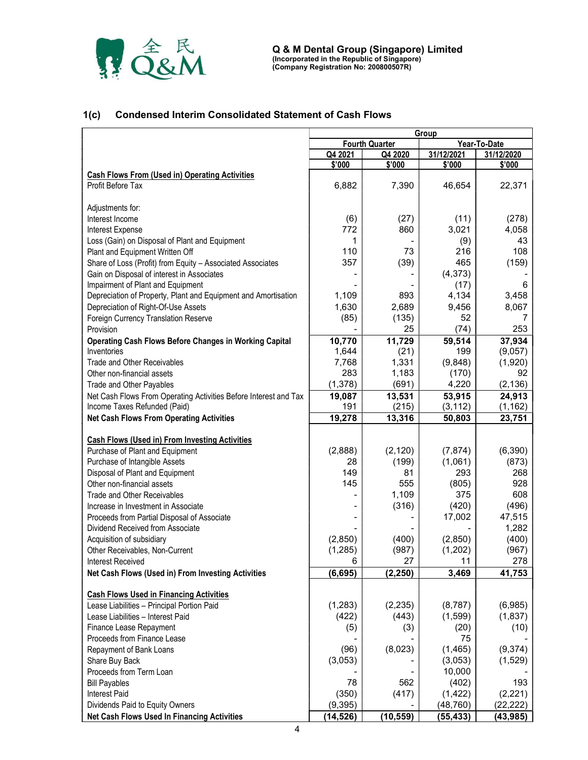

# 1(c) Condensed Interim Consolidated Statement of Cash Flows

|                                                                                                  | Group         |                       |                    |                    |  |  |
|--------------------------------------------------------------------------------------------------|---------------|-----------------------|--------------------|--------------------|--|--|
|                                                                                                  |               | <b>Fourth Quarter</b> |                    | Year-To-Date       |  |  |
|                                                                                                  | Q4 2021       | Q4 2020               | 31/12/2021         | 31/12/2020         |  |  |
|                                                                                                  | \$'000        | \$'000                | \$'000             | \$'000             |  |  |
| <b>Cash Flows From (Used in) Operating Activities</b><br>Profit Before Tax                       | 6,882         | 7,390                 | 46,654             | 22,371             |  |  |
| Adjustments for:                                                                                 |               |                       |                    |                    |  |  |
| Interest Income                                                                                  | (6)           | (27)                  | (11)               | (278)              |  |  |
| Interest Expense                                                                                 | 772           | 860                   | 3,021              | 4,058              |  |  |
| Loss (Gain) on Disposal of Plant and Equipment                                                   | 1             |                       | (9)                | 43                 |  |  |
| Plant and Equipment Written Off                                                                  | 110           | 73                    | 216                | 108                |  |  |
| Share of Loss (Profit) from Equity - Associated Associates                                       | 357           | (39)                  | 465                | (159)              |  |  |
| Gain on Disposal of interest in Associates                                                       |               |                       | (4, 373)           |                    |  |  |
| Impairment of Plant and Equipment                                                                |               |                       | (17)               | 6                  |  |  |
| Depreciation of Property, Plant and Equipment and Amortisation                                   | 1,109         | 893                   | 4,134              | 3,458              |  |  |
| Depreciation of Right-Of-Use Assets                                                              | 1,630         | 2,689                 | 9,456              | 8,067              |  |  |
| Foreign Currency Translation Reserve                                                             | (85)          | (135)                 | 52                 | 7                  |  |  |
| Provision                                                                                        |               | 25                    | (74)               | 253                |  |  |
| <b>Operating Cash Flows Before Changes in Working Capital</b>                                    | 10,770        | 11,729                | 59,514             | 37,934             |  |  |
| Inventories                                                                                      | 1,644         | (21)                  | 199                | (9,057)            |  |  |
| <b>Trade and Other Receivables</b>                                                               | 7,768         | 1,331                 | (9,848)            | (1,920)            |  |  |
| Other non-financial assets                                                                       | 283           | 1,183                 | (170)              | 92                 |  |  |
| Trade and Other Payables                                                                         | (1, 378)      | (691)                 | 4,220              | (2, 136)           |  |  |
| Net Cash Flows From Operating Activities Before Interest and Tax<br>Income Taxes Refunded (Paid) | 19,087<br>191 | 13,531<br>(215)       | 53,915<br>(3, 112) | 24,913<br>(1, 162) |  |  |
| <b>Net Cash Flows From Operating Activities</b>                                                  | 19,278        | 13,316                | 50,803             | 23,751             |  |  |
|                                                                                                  |               |                       |                    |                    |  |  |
| <b>Cash Flows (Used in) From Investing Activities</b>                                            |               |                       |                    |                    |  |  |
| Purchase of Plant and Equipment                                                                  | (2,888)       | (2, 120)              | (7, 874)           | (6, 390)           |  |  |
| Purchase of Intangible Assets                                                                    | 28            | (199)                 | (1,061)            | (873)              |  |  |
| Disposal of Plant and Equipment                                                                  | 149           | 81                    | 293                | 268                |  |  |
| Other non-financial assets                                                                       | 145           | 555                   | (805)              | 928                |  |  |
| <b>Trade and Other Receivables</b>                                                               |               | 1,109                 | 375                | 608                |  |  |
| Increase in Investment in Associate                                                              |               | (316)                 | (420)              | (496)              |  |  |
| Proceeds from Partial Disposal of Associate                                                      |               |                       | 17,002             | 47,515             |  |  |
| Dividend Received from Associate                                                                 |               |                       |                    | 1,282              |  |  |
| Acquisition of subsidiary                                                                        | (2,850)       | (400)                 | (2,850)            | (400)              |  |  |
| Other Receivables, Non-Current                                                                   | (1, 285)      | (987)                 | (1,202)            | (967)              |  |  |
| Interest Received                                                                                | 6             | 27                    | 11                 | 278                |  |  |
| Net Cash Flows (Used in) From Investing Activities                                               | (6, 695)      | (2, 250)              | 3,469              | 41,753             |  |  |
| <b>Cash Flows Used in Financing Activities</b>                                                   |               |                       |                    |                    |  |  |
| Lease Liabilities - Principal Portion Paid                                                       | (1, 283)      | (2, 235)              | (8, 787)           | (6,985)            |  |  |
| Lease Liabilities - Interest Paid                                                                | (422)         | (443)                 | (1, 599)           | (1, 837)           |  |  |
| Finance Lease Repayment                                                                          | (5)           | (3)                   | (20)               | (10)               |  |  |
| Proceeds from Finance Lease                                                                      |               |                       | 75                 |                    |  |  |
| Repayment of Bank Loans                                                                          | (96)          | (8,023)               | (1, 465)           | (9,374)            |  |  |
| Share Buy Back                                                                                   | (3,053)       |                       | (3,053)            | (1,529)            |  |  |
| Proceeds from Term Loan                                                                          |               |                       | 10,000             |                    |  |  |
| <b>Bill Payables</b>                                                                             | 78            | 562                   | (402)              | 193                |  |  |
| <b>Interest Paid</b>                                                                             | (350)         | (417)                 | (1, 422)           | (2, 221)           |  |  |
| Dividends Paid to Equity Owners                                                                  | (9, 395)      |                       | (48, 760)          | (22, 222)          |  |  |
| Net Cash Flows Used In Financing Activities                                                      | (14, 526)     | (10, 559)             | (55, 433)          | (43, 985)          |  |  |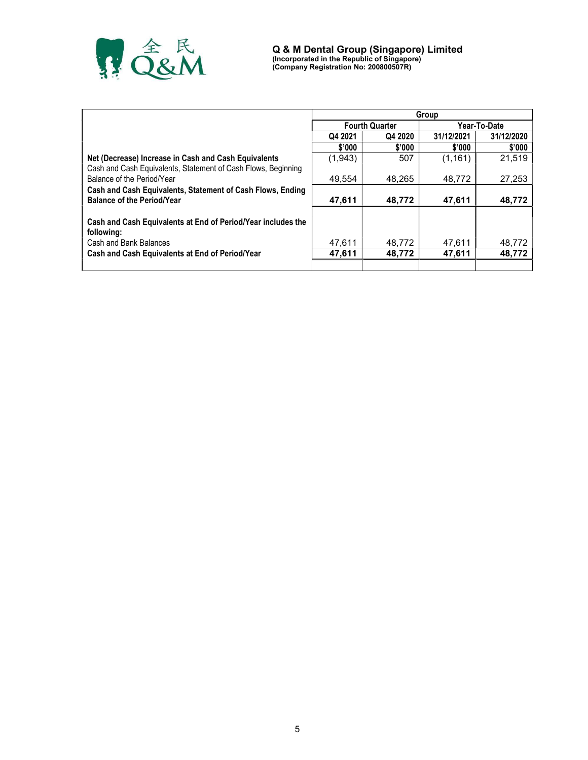

|                                                               | Group              |                       |            |              |  |  |
|---------------------------------------------------------------|--------------------|-----------------------|------------|--------------|--|--|
|                                                               |                    | <b>Fourth Quarter</b> |            | Year-To-Date |  |  |
|                                                               | Q4 2020<br>Q4 2021 |                       | 31/12/2021 | 31/12/2020   |  |  |
|                                                               | \$'000             | \$'000                | \$'000     | \$'000       |  |  |
| Net (Decrease) Increase in Cash and Cash Equivalents          | (1,943)            | 507                   | (1, 161)   | 21.519       |  |  |
| Cash and Cash Equivalents, Statement of Cash Flows, Beginning |                    |                       |            |              |  |  |
| Balance of the Period/Year                                    | 49.554             | 48.265                | 48.772     | 27,253       |  |  |
| Cash and Cash Equivalents, Statement of Cash Flows, Ending    |                    |                       |            |              |  |  |
| <b>Balance of the Period/Year</b>                             | 47,611             | 48.772                | 47,611     | 48.772       |  |  |
|                                                               |                    |                       |            |              |  |  |
| Cash and Cash Equivalents at End of Period/Year includes the  |                    |                       |            |              |  |  |
| following:                                                    |                    |                       |            |              |  |  |
| Cash and Bank Balances                                        | 47,611             | 48.772                | 47.611     | 48,772       |  |  |
| Cash and Cash Equivalents at End of Period/Year               | 47.611             | 48.772                | 47,611     | 48,772       |  |  |
|                                                               |                    |                       |            |              |  |  |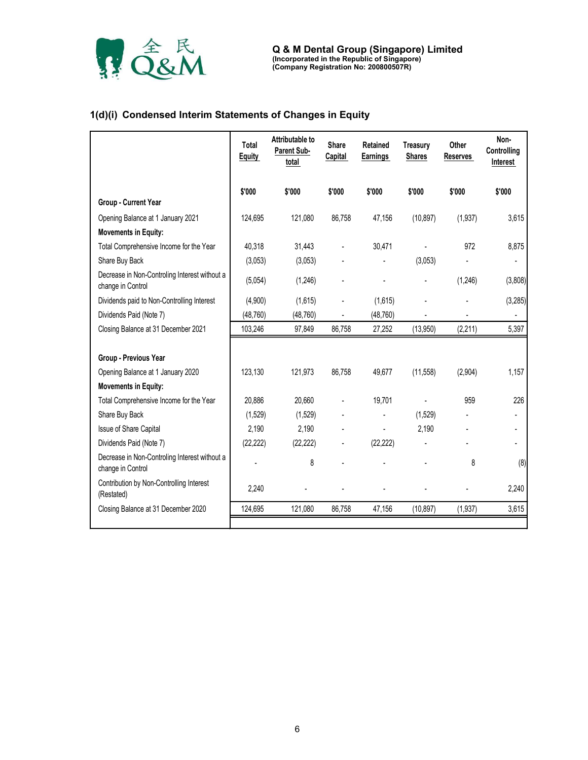

# 1(d)(i) Condensed Interim Statements of Changes in Equity

|                                                                    |                        |                                         |                         | (Incorporated in the Republic of Singapore)<br>(Company Registration No: 200800507R) |                                  |                          |                                 |
|--------------------------------------------------------------------|------------------------|-----------------------------------------|-------------------------|--------------------------------------------------------------------------------------|----------------------------------|--------------------------|---------------------------------|
| 1(d)(i) Condensed Interim Statements of Changes in Equity          |                        |                                         |                         |                                                                                      |                                  |                          |                                 |
|                                                                    | Total<br><b>Equity</b> | Attributable to<br>Parent Sub-<br>total | Share<br><b>Capital</b> | Retained<br><b>Earnings</b>                                                          | <b>Treasury</b><br><b>Shares</b> | Other<br><b>Reserves</b> | Non-<br>Controlling<br>Interest |
|                                                                    | \$'000                 | \$'000                                  | \$'000                  | \$'000                                                                               | \$'000                           | \$'000                   | \$'000                          |
| Group - Current Year                                               |                        |                                         |                         |                                                                                      |                                  |                          |                                 |
| Opening Balance at 1 January 2021                                  | 124,695                | 121,080                                 | 86,758                  | 47,156                                                                               | (10, 897)                        | (1,937)                  | 3,615                           |
| <b>Movements in Equity:</b>                                        |                        |                                         |                         |                                                                                      |                                  |                          |                                 |
| Total Comprehensive Income for the Year                            | 40,318                 | 31,443                                  |                         | 30,471                                                                               |                                  | 972                      | 8,875                           |
| Share Buy Back                                                     | (3,053)                | (3,053)                                 |                         |                                                                                      | (3,053)                          |                          | $\overline{a}$                  |
| Decrease in Non-Controling Interest without a<br>change in Control | (5,054)                | (1,246)                                 |                         |                                                                                      | $\blacksquare$                   | (1,246)                  | (3,808)                         |
| Dividends paid to Non-Controlling Interest                         | (4,900)                | (1,615)                                 |                         | (1,615)                                                                              |                                  |                          | (3, 285)                        |
| Dividends Paid (Note 7)                                            | (48, 760)              | (48, 760)                               |                         | (48, 760)                                                                            |                                  |                          | $\overline{a}$                  |
| Closing Balance at 31 December 2021                                | 103,246                | 97,849                                  | 86,758                  | 27,252                                                                               | (13,950)                         | (2,211)                  | 5,397                           |
| Group - Previous Year                                              |                        |                                         |                         |                                                                                      |                                  |                          |                                 |
| Opening Balance at 1 January 2020                                  | 123,130                | 121,973                                 | 86,758                  | 49,677                                                                               | (11,558)                         | (2,904)                  | 1,157                           |
| <b>Movements in Equity:</b>                                        |                        |                                         |                         |                                                                                      |                                  |                          |                                 |
| Total Comprehensive Income for the Year                            | 20,886                 | 20,660                                  |                         | 19,701                                                                               | L                                | 959                      | 226                             |
| Share Buy Back                                                     | (1,529)                | (1,529)                                 |                         |                                                                                      | (1,529)                          |                          |                                 |
| Issue of Share Capital                                             | 2,190                  | 2,190                                   |                         |                                                                                      | 2,190                            |                          | $\overline{a}$                  |
| Dividends Paid (Note 7)                                            | (22, 222)              | (22, 222)                               |                         | (22, 222)                                                                            |                                  |                          |                                 |
| Decrease in Non-Controling Interest without a<br>change in Control |                        | 8                                       |                         |                                                                                      |                                  | 8                        | (8)                             |
| Contribution by Non-Controlling Interest<br>(Restated)             | 2,240                  |                                         |                         |                                                                                      |                                  |                          | 2,240                           |
| Closing Balance at 31 December 2020                                | 124,695                | 121,080                                 | 86,758                  | 47,156                                                                               | (10, 897)                        | (1, 937)                 | 3,615                           |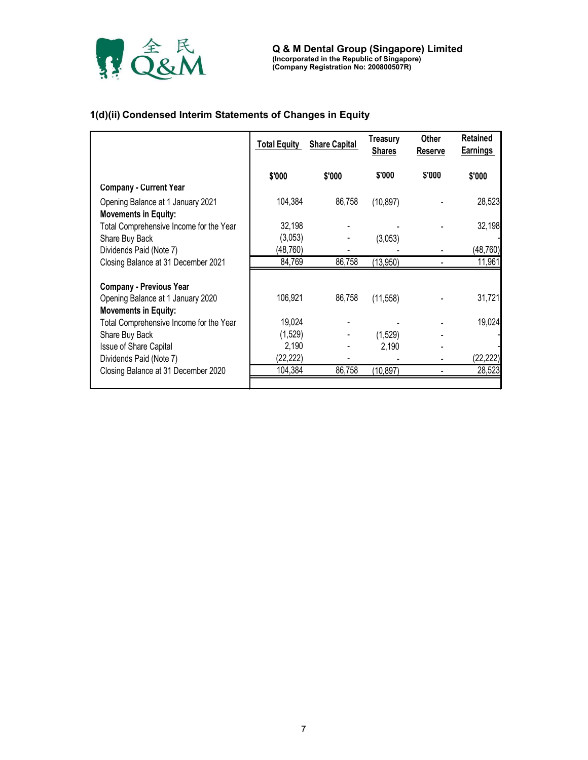

# 1(d)(ii) Condensed Interim Statements of Changes in Equity

|                                         | <b>Total Equity</b> | <b>Share Capital</b> | <b>Treasury</b><br><b>Shares</b> | <b>Other</b><br>Reserve | <b>Retained</b><br><b>Earnings</b> |
|-----------------------------------------|---------------------|----------------------|----------------------------------|-------------------------|------------------------------------|
|                                         | \$'000              | \$'000               | \$'000                           | \$'000                  | \$'000                             |
| <b>Company - Current Year</b>           |                     |                      |                                  |                         |                                    |
| Opening Balance at 1 January 2021       | 104,384             | 86,758               | (10, 897)                        |                         | 28,523                             |
| <b>Movements in Equity:</b>             |                     |                      |                                  |                         |                                    |
| Total Comprehensive Income for the Year | 32,198              |                      |                                  |                         | 32,198                             |
| Share Buy Back                          | (3,053)             |                      | (3,053)                          |                         |                                    |
| Dividends Paid (Note 7)                 | (48,760)            |                      |                                  |                         | (48, 760)                          |
| Closing Balance at 31 December 2021     | 84,769              | 86,758               | (13,950)                         |                         | 11,961                             |
|                                         |                     |                      |                                  |                         |                                    |
| <b>Company - Previous Year</b>          |                     |                      |                                  |                         |                                    |
| Opening Balance at 1 January 2020       | 106,921             | 86,758               | (11, 558)                        |                         | 31,721                             |
| <b>Movements in Equity:</b>             |                     |                      |                                  |                         |                                    |
| Total Comprehensive Income for the Year | 19,024              |                      |                                  |                         | 19,024                             |
| Share Buy Back                          | (1,529)             |                      | (1,529)                          |                         |                                    |
| Issue of Share Capital                  | 2,190               |                      | 2,190                            |                         |                                    |
| Dividends Paid (Note 7)                 | (22, 222)           |                      |                                  |                         | (22, 222)                          |
| Closing Balance at 31 December 2020     | 104,384             | 86,758               | (10, 897)                        |                         | 28,523                             |
|                                         |                     |                      |                                  |                         |                                    |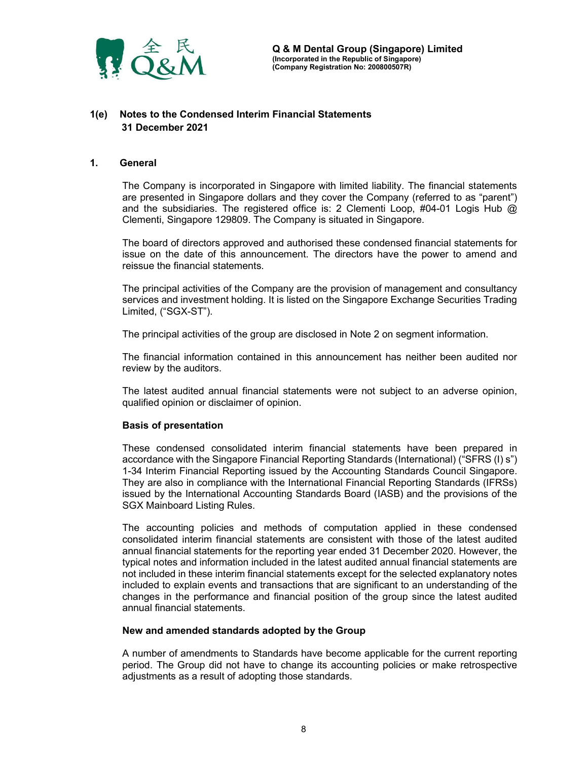

# 1(e) Notes to the Condensed Interim Financial Statements 31 December 2021

#### 1. General

The Company is incorporated in Singapore with limited liability. The financial statements are presented in Singapore dollars and they cover the Company (referred to as "parent") and the subsidiaries. The registered office is: 2 Clementi Loop, #04-01 Logis Hub @ Clementi, Singapore 129809. The Company is situated in Singapore.

The board of directors approved and authorised these condensed financial statements for issue on the date of this announcement. The directors have the power to amend and reissue the financial statements.

The principal activities of the Company are the provision of management and consultancy services and investment holding. It is listed on the Singapore Exchange Securities Trading Limited, ("SGX-ST").

The principal activities of the group are disclosed in Note 2 on segment information.

The financial information contained in this announcement has neither been audited nor review by the auditors.

The latest audited annual financial statements were not subject to an adverse opinion, qualified opinion or disclaimer of opinion.

#### Basis of presentation

These condensed consolidated interim financial statements have been prepared in accordance with the Singapore Financial Reporting Standards (International) ("SFRS (I) s") 1-34 Interim Financial Reporting issued by the Accounting Standards Council Singapore. They are also in compliance with the International Financial Reporting Standards (IFRSs) issued by the International Accounting Standards Board (IASB) and the provisions of the SGX Mainboard Listing Rules.

The accounting policies and methods of computation applied in these condensed consolidated interim financial statements are consistent with those of the latest audited annual financial statements for the reporting year ended 31 December 2020. However, the typical notes and information included in the latest audited annual financial statements are not included in these interim financial statements except for the selected explanatory notes included to explain events and transactions that are significant to an understanding of the changes in the performance and financial position of the group since the latest audited annual financial statements.

#### New and amended standards adopted by the Group

A number of amendments to Standards have become applicable for the current reporting period. The Group did not have to change its accounting policies or make retrospective adjustments as a result of adopting those standards.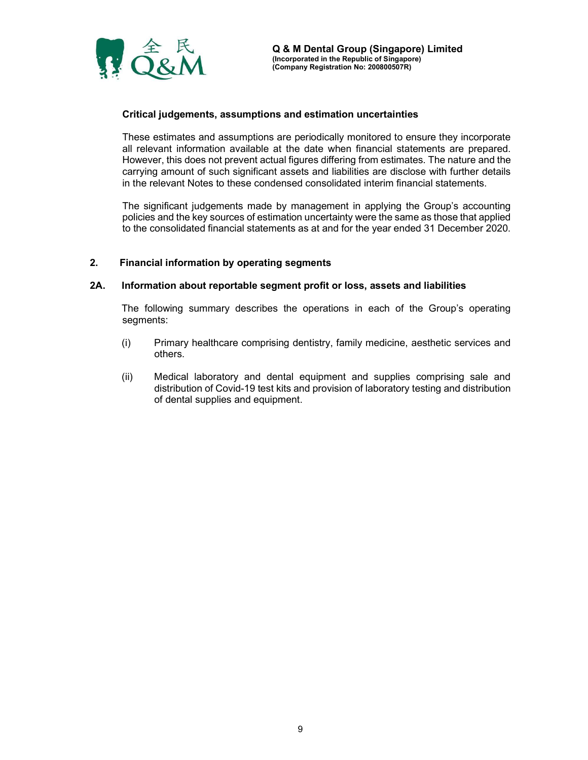

### Critical judgements, assumptions and estimation uncertainties

These estimates and assumptions are periodically monitored to ensure they incorporate all relevant information available at the date when financial statements are prepared. However, this does not prevent actual figures differing from estimates. The nature and the carrying amount of such significant assets and liabilities are disclose with further details in the relevant Notes to these condensed consolidated interim financial statements.

The significant judgements made by management in applying the Group's accounting policies and the key sources of estimation uncertainty were the same as those that applied to the consolidated financial statements as at and for the year ended 31 December 2020.

#### 2. Financial information by operating segments

#### 2A. Information about reportable segment profit or loss, assets and liabilities

The following summary describes the operations in each of the Group's operating segments:

- (i) Primary healthcare comprising dentistry, family medicine, aesthetic services and others.
- (ii) Medical laboratory and dental equipment and supplies comprising sale and distribution of Covid-19 test kits and provision of laboratory testing and distribution of dental supplies and equipment.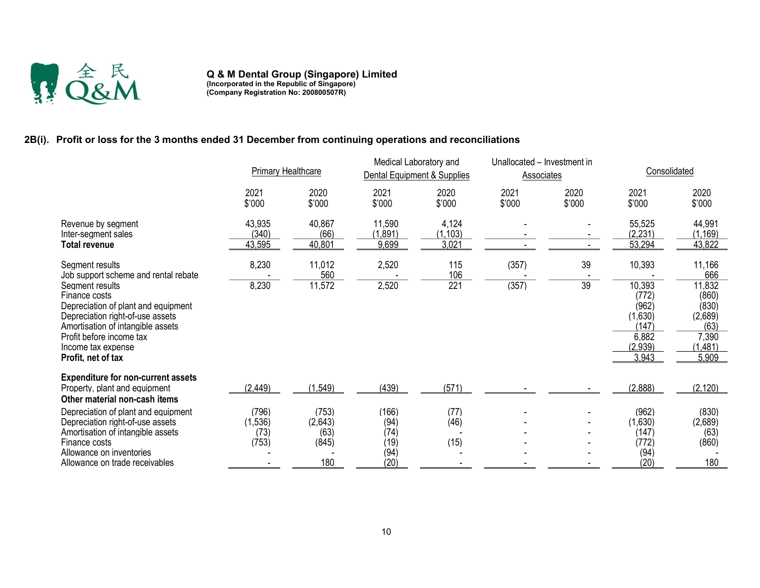

Q & M Dental Group (Singapore) Limited (Incorporated in the Republic of Singapore) (Company Registration No: 200800507R)

# 2B(i). Profit or loss for the 3 months ended 31 December from continuing operations and reconciliations

|                                                                                                                                                                                                                          | <b>Primary Healthcare</b> |                  | Medical Laboratory and<br>Unallocated - Investment in<br>Dental Equipment & Supplies<br><b>Associates</b> |                   |                | Consolidated   |                                                                           |                                                                           |
|--------------------------------------------------------------------------------------------------------------------------------------------------------------------------------------------------------------------------|---------------------------|------------------|-----------------------------------------------------------------------------------------------------------|-------------------|----------------|----------------|---------------------------------------------------------------------------|---------------------------------------------------------------------------|
|                                                                                                                                                                                                                          | 2021<br>\$'000            | 2020<br>\$'000   | 2021<br>\$'000                                                                                            | 2020<br>\$'000    | 2021<br>\$'000 | 2020<br>\$'000 | 2021<br>\$'000                                                            | 2020<br>\$'000                                                            |
| Revenue by segment<br>Inter-segment sales                                                                                                                                                                                | 43,935<br>(340)           | 40,867<br>(66)   | 11,590<br>(1, 891)                                                                                        | 4,124<br>(1, 103) |                |                | 55,525<br>(2, 231)                                                        | 44,991<br>(1, 169)                                                        |
| <b>Total revenue</b>                                                                                                                                                                                                     | 43,595                    | 40,801           | 9,699                                                                                                     | 3,021             |                |                | 53,294                                                                    | 43,822                                                                    |
| Segment results<br>Job support scheme and rental rebate                                                                                                                                                                  | 8,230                     | 11,012<br>560    | 2,520                                                                                                     | 115<br>106        | (357)          | 39             | 10,393                                                                    | 11,166<br>666                                                             |
| Seament results<br>Finance costs<br>Depreciation of plant and equipment<br>Depreciation right-of-use assets<br>Amortisation of intangible assets<br>Profit before income tax<br>Income tax expense<br>Profit, net of tax | 8.230                     | 11.572           | 2,520                                                                                                     | 221               | (357)          | 39             | 10.393<br>(772)<br>(962)<br>(1,630)<br>(147)<br>6,882<br>(2,939)<br>3,943 | 11.832<br>(860)<br>(830)<br>(2,689)<br>(63)<br>7,390<br>(1, 481)<br>5,909 |
| <b>Expenditure for non-current assets</b><br>Property, plant and equipment                                                                                                                                               | (2, 449)                  | (1,549)          | (439)                                                                                                     | (571)             |                |                | (2,888)                                                                   | (2, 120)                                                                  |
| Other material non-cash items                                                                                                                                                                                            |                           |                  |                                                                                                           |                   |                |                |                                                                           |                                                                           |
| Depreciation of plant and equipment<br>Depreciation right-of-use assets                                                                                                                                                  | (796)<br>(1,536)          | (753)<br>(2,643) | (166)<br>(94)                                                                                             | (77)<br>(46)      |                |                | (962)<br>(1,630)                                                          | (830)<br>(2,689)                                                          |
| Amortisation of intangible assets<br>Finance costs<br>Allowance on inventories                                                                                                                                           | (73)<br>(753)             | (63)<br>(845)    | (74)<br>(19)<br>(94)                                                                                      | (15)              |                |                | (147)<br>(772)<br>(94)                                                    | (63)<br>(860)                                                             |
| Allowance on trade receivables                                                                                                                                                                                           |                           | 180              | (20)                                                                                                      |                   |                |                | (20)                                                                      | 180                                                                       |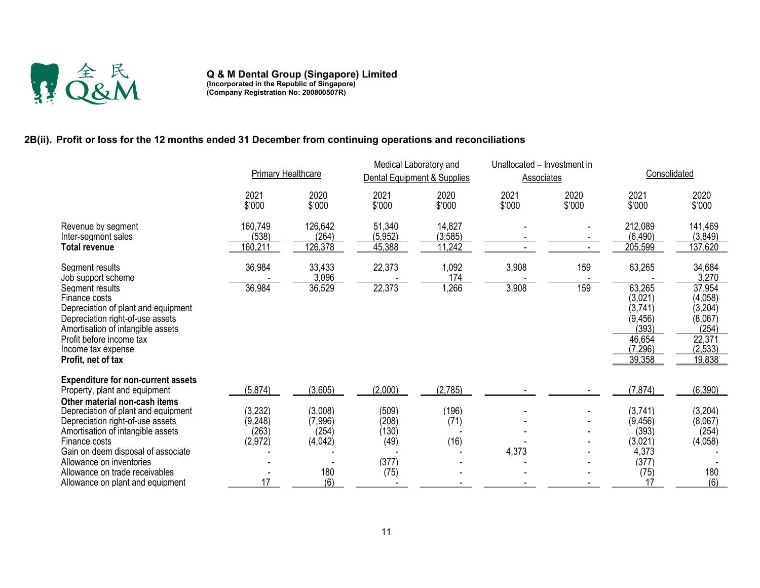

Q & M Dental Group (Singapore) Limited (Incorporated in the Republic of Singapore) (Company Registration No: 200800507R)

# 2B(ii). Profit or loss for the 12 months ended 31 December from continuing operations and reconciliations

|                                                                                                                                                                                                                                                                    | <b>Primary Healthcare</b>              |                                               | Medical Laboratory and<br>Dental Equipment & Supplies |                              | Unallocated - Investment in<br>Associates |                | Consolidated                                                                      |                                                                                 |
|--------------------------------------------------------------------------------------------------------------------------------------------------------------------------------------------------------------------------------------------------------------------|----------------------------------------|-----------------------------------------------|-------------------------------------------------------|------------------------------|-------------------------------------------|----------------|-----------------------------------------------------------------------------------|---------------------------------------------------------------------------------|
|                                                                                                                                                                                                                                                                    | 2021<br>\$'000                         | 2020<br>\$'000                                | 2021<br>\$'000                                        | 2020<br>\$'000               | 2021<br>\$'000                            | 2020<br>\$'000 | 2021<br>\$'000                                                                    | 2020<br>\$'000                                                                  |
| Revenue by segment<br>Inter-seament sales<br><b>Total revenue</b>                                                                                                                                                                                                  | 160,749<br>(538)<br>160,211            | 126,642<br>(264)<br>126,378                   | 51,340<br>(5,952)<br>45,388                           | 14,827<br>(3, 585)<br>11,242 |                                           |                | 212,089<br>(6, 490)<br>205,599                                                    | 141,469<br>(3,849)<br>137,620                                                   |
| Segment results<br>Job support scheme                                                                                                                                                                                                                              | 36,984                                 | 33,433<br>3,096                               | 22,373                                                | 1,092<br>174                 | 3,908                                     | 159            | 63,265                                                                            | 34,684<br>3,270                                                                 |
| Segment results<br>Finance costs<br>Depreciation of plant and equipment<br>Depreciation right-of-use assets<br>Amortisation of intangible assets<br>Profit before income tax<br>Income tax expense<br>Profit, net of tax                                           | 36,984                                 | 36,529                                        | 22,373                                                | 1,266                        | 3,908                                     | 159            | 63,265<br>(3,021)<br>(3,741)<br>(9, 456)<br>(393)<br>46.654<br>(7, 296)<br>39,358 | 37,954<br>(4,058)<br>(3,204)<br>(8,067)<br>(254)<br>22,371<br>(2,533)<br>19,838 |
| <b>Expenditure for non-current assets</b><br>Property, plant and equipment                                                                                                                                                                                         | (5, 874)                               | (3,605)                                       | (2,000)                                               | (2,785)                      |                                           |                | (7, 874)                                                                          | (6,390)                                                                         |
| Other material non-cash items<br>Depreciation of plant and equipment<br>Depreciation right-of-use assets<br>Amortisation of intangible assets<br>Finance costs<br>Gain on deem disposal of associate<br>Allowance on inventories<br>Allowance on trade receivables | (3,232)<br>(9,248)<br>(263)<br>(2,972) | (3,008)<br>(7,996)<br>(254)<br>(4,042)<br>180 | (509)<br>(208)<br>(130)<br>(49)<br>(377)<br>(75)      | (196)<br>(71)<br>(16)        | 4,373                                     |                | (3,741)<br>(9, 456)<br>(393)<br>(3,021)<br>4,373<br>(377)<br>(75)                 | (3,204)<br>(8,067)<br>(254)<br>(4,058)<br>180                                   |
| Allowance on plant and equipment                                                                                                                                                                                                                                   | 17                                     | (6)                                           |                                                       |                              |                                           |                | 17                                                                                | (6)                                                                             |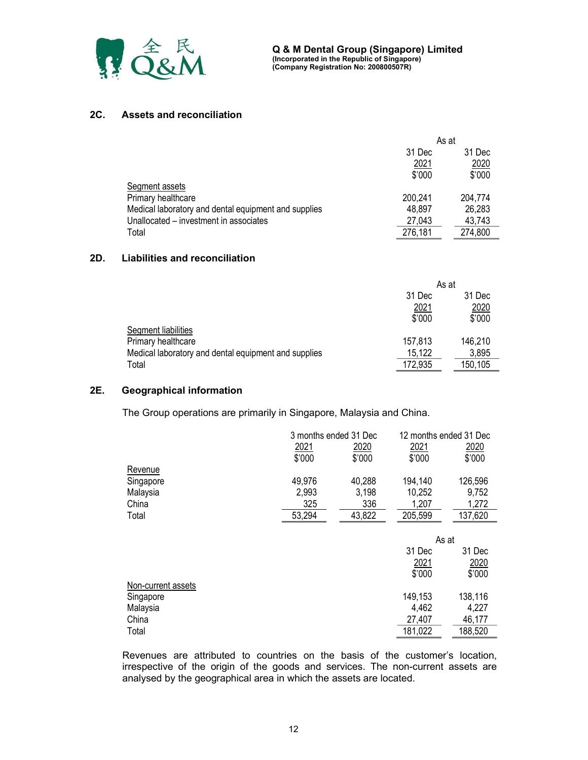

### 2C. Assets and reconciliation

|                                                      | As at   |         |  |
|------------------------------------------------------|---------|---------|--|
|                                                      | 31 Dec  | 31 Dec  |  |
|                                                      | 2021    | 2020    |  |
|                                                      | \$'000  | \$'000  |  |
| Segment assets                                       |         |         |  |
| Primary healthcare                                   | 200.241 | 204,774 |  |
| Medical laboratory and dental equipment and supplies | 48,897  | 26,283  |  |
| Unallocated – investment in associates               | 27,043  | 43,743  |  |
| Total                                                | 276,181 | 274,800 |  |

#### 2D. Liabilities and reconciliation

|                                                      | As at   |         |
|------------------------------------------------------|---------|---------|
|                                                      | 31 Dec  | 31 Dec  |
|                                                      | 2021    | 2020    |
|                                                      | \$'000  | \$'000  |
| Segment liabilities                                  |         |         |
| Primary healthcare                                   | 157,813 | 146,210 |
| Medical laboratory and dental equipment and supplies | 15,122  | 3,895   |
| Total                                                | 172,935 | 150,105 |

### 2E. Geographical information

The Group operations are primarily in Singapore, Malaysia and China.

|                    |             | 3 months ended 31 Dec | 12 months ended 31 Dec |         |
|--------------------|-------------|-----------------------|------------------------|---------|
|                    | <u>2021</u> | 2020                  | 2021                   | 2020    |
|                    | \$'000      | \$'000                | \$'000                 | \$'000  |
| Revenue            |             |                       |                        |         |
| Singapore          | 49,976      | 40,288                | 194,140                | 126,596 |
| Malaysia           | 2,993       | 3,198                 | 10,252                 | 9,752   |
| China              | 325         | 336                   | 1,207                  | 1,272   |
| Total              | 53,294      | 43,822                | 205,599                | 137,620 |
|                    |             |                       |                        |         |
|                    |             |                       | As at                  |         |
|                    |             |                       | 31 Dec                 | 31 Dec  |
|                    |             |                       | 2021                   | 2020    |
|                    |             |                       | \$'000                 | \$'000  |
| Non-current assets |             |                       |                        |         |
| Singapore          |             |                       | 149,153                | 138,116 |
| Malaysia           |             |                       | 4,462                  | 4,227   |
| China              |             |                       | 27,407                 | 46,177  |
| Total              |             |                       | 181,022                | 188,520 |

Revenues are attributed to countries on the basis of the customer's location, irrespective of the origin of the goods and services. The non-current assets are analysed by the geographical area in which the assets are located.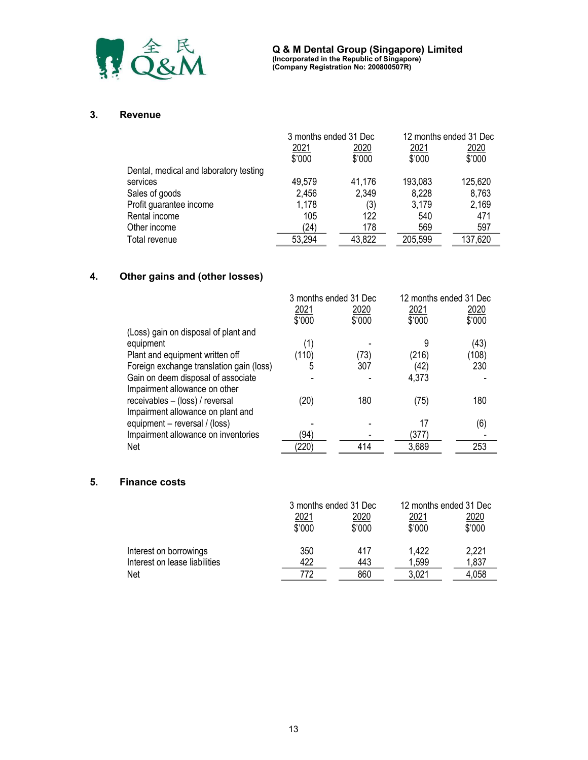

#### 3. Revenue

|                                        | 3 months ended 31 Dec |        |         | 12 months ended 31 Dec |
|----------------------------------------|-----------------------|--------|---------|------------------------|
|                                        | 2021                  | 2020   | 2021    | 2020                   |
|                                        | \$'000                | \$'000 | \$'000  | \$'000                 |
| Dental, medical and laboratory testing |                       |        |         |                        |
| services                               | 49,579                | 41,176 | 193,083 | 125,620                |
| Sales of goods                         | 2,456                 | 2,349  | 8,228   | 8,763                  |
| Profit guarantee income                | 1,178                 | (3)    | 3,179   | 2,169                  |
| Rental income                          | 105                   | 122    | 540     | 471                    |
| Other income                           | (24)                  | 178    | 569     | 597                    |
| Total revenue                          | 53,294                | 43,822 | 205,599 | 137,620                |

# 4. Other gains and (other losses)

|                                          | 3 months ended 31 Dec |        | 12 months ended 31 Dec |        |
|------------------------------------------|-----------------------|--------|------------------------|--------|
|                                          | <u> 2021</u>          | 2020   | 2021                   | 2020   |
|                                          | \$'000                | \$'000 | \$'000                 | \$'000 |
| (Loss) gain on disposal of plant and     |                       |        |                        |        |
| equipment                                | (1)                   |        |                        | (43)   |
| Plant and equipment written off          | (110)                 | (73)   | (216)                  | (108)  |
| Foreign exchange translation gain (loss) | 5                     | 307    | (42)                   | 230    |
| Gain on deem disposal of associate       |                       |        | 4,373                  |        |
| Impairment allowance on other            |                       |        |                        |        |
| receivables - (loss) / reversal          | (20)                  | 180    | (75)                   | 180    |
| Impairment allowance on plant and        |                       |        |                        |        |
| equipment – reversal / (loss)            |                       |        | 17                     | (6)    |
| Impairment allowance on inventories      | (94                   |        | (377)                  |        |
| Net                                      | (220)                 | 414    | 3,689                  | 253    |

# 5. Finance costs

|                               | 3 months ended 31 Dec |        | 12 months ended 31 Dec |        |
|-------------------------------|-----------------------|--------|------------------------|--------|
|                               | <u> 2021</u>          | 2020   | 2021                   | 2020   |
|                               | \$'000                | \$'000 | \$'000                 | \$'000 |
| Interest on borrowings        | 350                   | 417    | 1,422                  | 2,221  |
| Interest on lease liabilities | 422                   | 443    | 1,599                  | 1,837  |
| Net                           | 772                   | 860    | 3,021                  | 4,058  |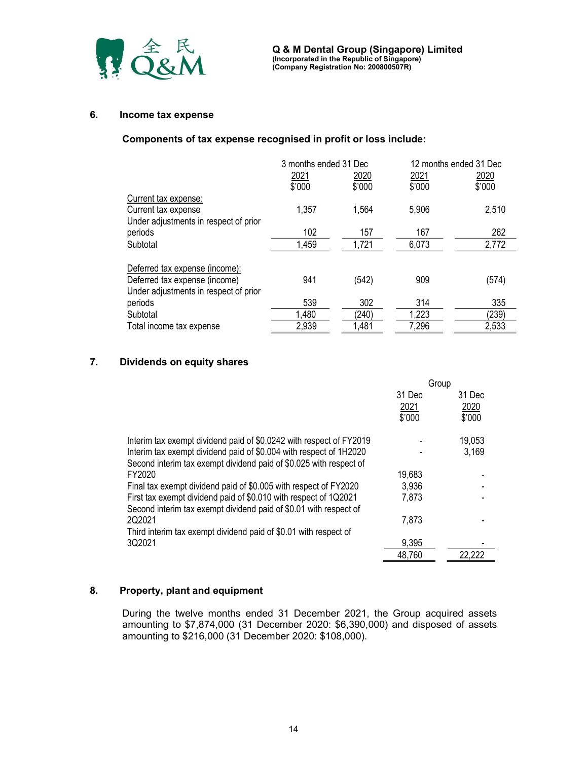

### 6. Income tax expense

### Components of tax expense recognised in profit or loss include:

|                                       | 3 months ended 31 Dec |        |        | 12 months ended 31 Dec |
|---------------------------------------|-----------------------|--------|--------|------------------------|
|                                       | 2021                  | 2020   | 2021   | 2020                   |
|                                       | \$'000                | \$'000 | \$'000 | \$'000                 |
| Current tax expense:                  |                       |        |        |                        |
| Current tax expense                   | 1,357                 | 1,564  | 5,906  | 2,510                  |
| Under adjustments in respect of prior |                       |        |        |                        |
| periods                               | 102                   | 157    | 167    | 262                    |
| Subtotal                              | 1,459                 | 1,721  | 6,073  | 2,772                  |
|                                       |                       |        |        |                        |
| Deferred tax expense (income):        |                       |        |        |                        |
| Deferred tax expense (income)         | 941                   | (542)  | 909    | (574)                  |
| Under adjustments in respect of prior |                       |        |        |                        |
| periods                               | 539                   | 302    | 314    | 335                    |
| Subtotal                              | 1,480                 | (240)  | 1,223  | (239)                  |
| Total income tax expense              | 2,939                 | 1,481  | 7,296  | 2,533                  |

# 7. Dividends on equity shares

|                                                                                                                                          | Group  |        |
|------------------------------------------------------------------------------------------------------------------------------------------|--------|--------|
|                                                                                                                                          | 31 Dec | 31 Dec |
|                                                                                                                                          | 2021   | 2020   |
|                                                                                                                                          | \$'000 | \$'000 |
| Interim tax exempt dividend paid of \$0.0242 with respect of FY2019                                                                      |        | 19,053 |
| Interim tax exempt dividend paid of \$0.004 with respect of 1H2020<br>Second interim tax exempt dividend paid of \$0.025 with respect of |        | 3,169  |
| FY2020                                                                                                                                   | 19,683 |        |
| Final tax exempt dividend paid of \$0.005 with respect of FY2020                                                                         | 3,936  |        |
| First tax exempt dividend paid of \$0.010 with respect of 1Q2021                                                                         | 7,873  |        |
| Second interim tax exempt dividend paid of \$0.01 with respect of<br>202021                                                              | 7,873  |        |
| Third interim tax exempt dividend paid of \$0.01 with respect of                                                                         |        |        |
| 3Q2021                                                                                                                                   | 9,395  |        |
|                                                                                                                                          | 48,760 | 22,222 |

# 8. Property, plant and equipment

During the twelve months ended 31 December 2021, the Group acquired assets amounting to \$7,874,000 (31 December 2020: \$6,390,000) and disposed of assets amounting to \$216,000 (31 December 2020: \$108,000).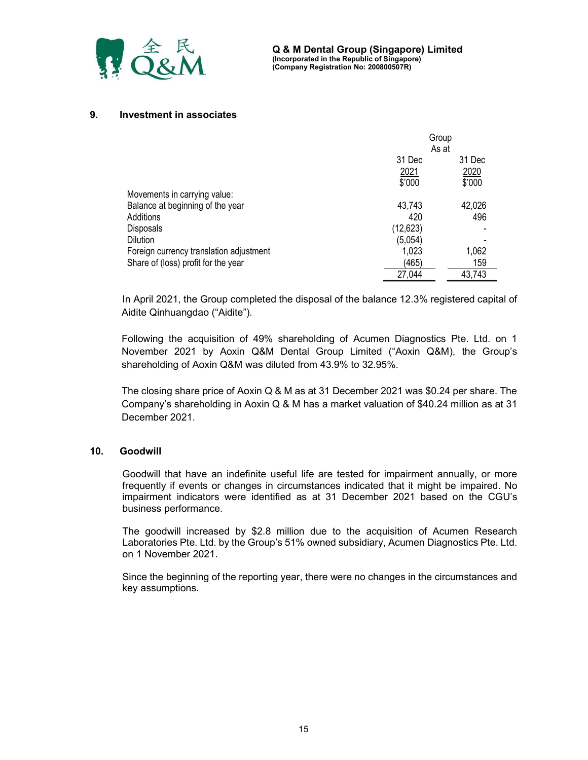

### 9. Investment in associates

|                                         | Group            |        |  |
|-----------------------------------------|------------------|--------|--|
|                                         | As at            |        |  |
|                                         | 31 Dec<br>31 Dec |        |  |
|                                         | 2021             | 2020   |  |
|                                         | \$'000           | \$'000 |  |
| Movements in carrying value:            |                  |        |  |
| Balance at beginning of the year        | 43,743           | 42,026 |  |
| Additions                               | 420              | 496    |  |
| Disposals                               | (12, 623)        |        |  |
| Dilution                                | (5,054)          |        |  |
| Foreign currency translation adjustment | 1,023            | 1,062  |  |
| Share of (loss) profit for the year     | (465)            | 159    |  |
|                                         | 27,044           | 43,743 |  |

In April 2021, the Group completed the disposal of the balance 12.3% registered capital of Aidite Qinhuangdao ("Aidite").

Following the acquisition of 49% shareholding of Acumen Diagnostics Pte. Ltd. on 1 November 2021 by Aoxin Q&M Dental Group Limited ("Aoxin Q&M), the Group's shareholding of Aoxin Q&M was diluted from 43.9% to 32.95%.

The closing share price of Aoxin Q & M as at 31 December 2021 was \$0.24 per share. The Company's shareholding in Aoxin Q & M has a market valuation of \$40.24 million as at 31 December 2021.

### 10. Goodwill

Goodwill that have an indefinite useful life are tested for impairment annually, or more frequently if events or changes in circumstances indicated that it might be impaired. No impairment indicators were identified as at 31 December 2021 based on the CGU's business performance.

The goodwill increased by \$2.8 million due to the acquisition of Acumen Research Laboratories Pte. Ltd. by the Group's 51% owned subsidiary, Acumen Diagnostics Pte. Ltd. on 1 November 2021.

Since the beginning of the reporting year, there were no changes in the circumstances and key assumptions.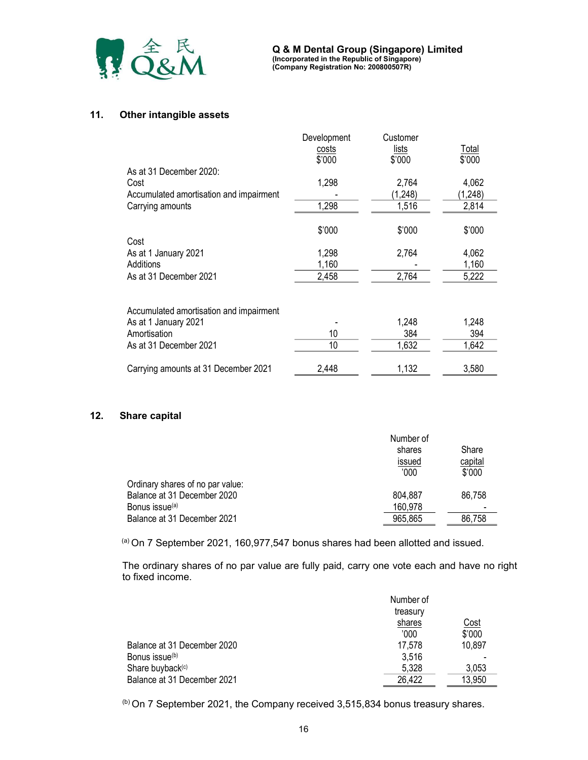

### 11. Other intangible assets

|                                         | Development  | Customer     |              |
|-----------------------------------------|--------------|--------------|--------------|
|                                         | <u>costs</u> | <u>lists</u> | <u>Total</u> |
|                                         | \$'000       | \$'000       | \$'000       |
| As at 31 December 2020:                 |              |              |              |
| Cost                                    | 1,298        | 2,764        | 4,062        |
| Accumulated amortisation and impairment |              | (1,248)      | (1,248)      |
| Carrying amounts                        | 1,298        | 1,516        | 2,814        |
|                                         | \$'000       | \$'000       | \$'000       |
| Cost                                    |              |              |              |
| As at 1 January 2021                    | 1,298        | 2,764        | 4,062        |
| Additions                               | 1,160        |              | 1,160        |
| As at 31 December 2021                  | 2,458        | 2,764        | 5,222        |
|                                         |              |              |              |
| Accumulated amortisation and impairment |              |              |              |
| As at 1 January 2021                    |              | 1,248        | 1,248        |
| Amortisation                            | 10           | 384          | 394          |
| As at 31 December 2021                  | 10           | 1,632        | 1,642        |
|                                         |              |              |              |
| Carrying amounts at 31 December 2021    | 2,448        | 1,132        | 3,580        |

### 12. Share capital

|                                  | Number of |         |  |
|----------------------------------|-----------|---------|--|
|                                  | shares    | Share   |  |
|                                  | issued    | capital |  |
|                                  | '000'     | \$'000  |  |
| Ordinary shares of no par value: |           |         |  |
| Balance at 31 December 2020      | 804,887   | 86,758  |  |
| Bonus issue <sup>(a)</sup>       | 160,978   |         |  |
| Balance at 31 December 2021      | 965,865   | 86,758  |  |

(a) On 7 September 2021, 160,977,547 bonus shares had been allotted and issued.

The ordinary shares of no par value are fully paid, carry one vote each and have no right to fixed income.

|                              | Number of<br>treasury |             |
|------------------------------|-----------------------|-------------|
|                              | shares                | <u>Cost</u> |
|                              | '000                  | \$'000      |
| Balance at 31 December 2020  | 17,578                | 10,897      |
| Bonus issue <sup>(b)</sup>   | 3,516                 |             |
| Share buyback <sup>(c)</sup> | 5.328                 | 3,053       |
| Balance at 31 December 2021  | 26,422                | 13,950      |

(b) On 7 September 2021, the Company received 3,515,834 bonus treasury shares.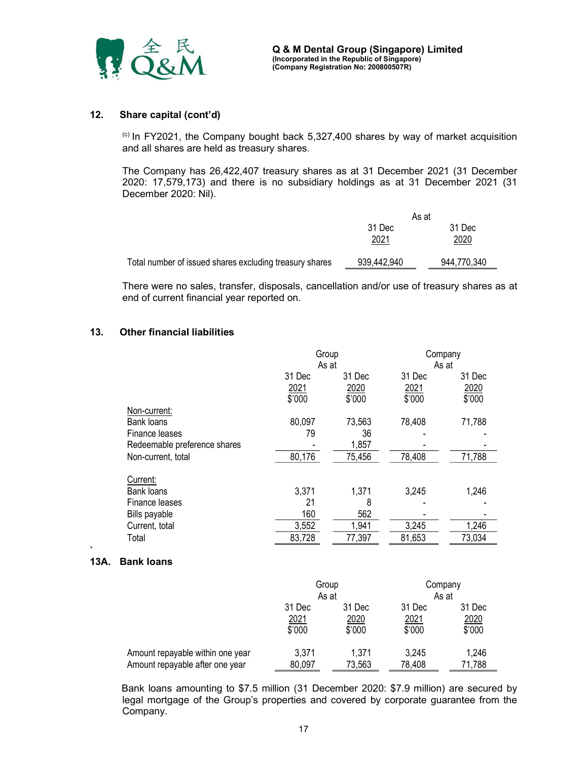

### 12. Share capital (cont'd)

(c) In FY2021, the Company bought back 5,327,400 shares by way of market acquisition and all shares are held as treasury shares.

The Company has 26,422,407 treasury shares as at 31 December 2021 (31 December 2020: 17,579,173) and there is no subsidiary holdings as at 31 December 2021 (31 December 2020: Nil).

|                                                         | As at          |                |
|---------------------------------------------------------|----------------|----------------|
|                                                         | 31 Dec<br>2021 | 31 Dec<br>2020 |
| Total number of issued shares excluding treasury shares | 939,442,940    | 944,770,340    |

There were no sales, transfer, disposals, cancellation and/or use of treasury shares as at end of current financial year reported on.

#### 13. Other financial liabilities

|                              | Group  |        | Company |        |
|------------------------------|--------|--------|---------|--------|
|                              |        | As at  | As at   |        |
|                              | 31 Dec | 31 Dec | 31 Dec  | 31 Dec |
|                              | 2021   | 2020   | 2021    | 2020   |
|                              | \$'000 | \$'000 | \$'000  | \$'000 |
| Non-current:                 |        |        |         |        |
| Bank loans                   | 80,097 | 73,563 | 78,408  | 71,788 |
| Finance leases               | 79     | 36     |         |        |
| Redeemable preference shares |        | 1,857  |         |        |
| Non-current, total           | 80,176 | 75,456 | 78,408  | 71,788 |
| Current:                     |        |        |         |        |
|                              |        |        |         |        |
| Bank loans                   | 3,371  | 1,371  | 3,245   | 1,246  |
| Finance leases               | 21     | 8      |         |        |
| Bills payable                | 160    | 562    |         |        |
| Current, total               | 3,552  | 1,941  | 3,245   | 1,246  |
| Total                        | 83,728 | 77,397 | 81,653  | 73,034 |

#### 13A. Bank loans

`

|                                  | Group<br>As at |        | Company<br>As at |        |
|----------------------------------|----------------|--------|------------------|--------|
|                                  | 31 Dec         | 31 Dec | 31 Dec           | 31 Dec |
|                                  | 2021           | 2020   | <u>2021</u>      | 2020   |
|                                  | \$'000         | \$'000 | \$'000           | \$'000 |
| Amount repayable within one year | 3,371          | 1,371  | 3.245            | 1,246  |
| Amount repayable after one year  | 80,097         | 73,563 | 78,408           | 71,788 |

 Bank loans amounting to \$7.5 million (31 December 2020: \$7.9 million) are secured by legal mortgage of the Group's properties and covered by corporate guarantee from the Company.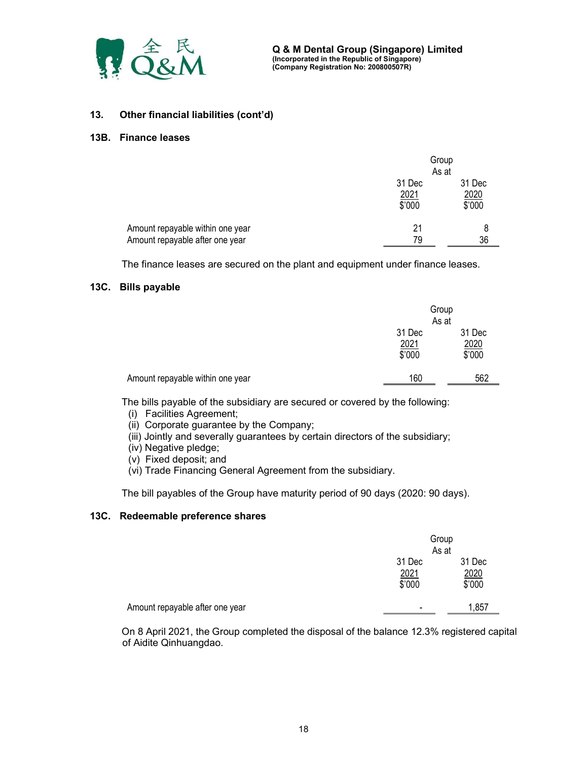

### 13. Other financial liabilities (cont'd)

#### 13B. Finance leases

|                                                                     | Group<br>As at           |                          |
|---------------------------------------------------------------------|--------------------------|--------------------------|
|                                                                     | 31 Dec<br>2021<br>\$'000 | 31 Dec<br>2020<br>\$'000 |
| Amount repayable within one year<br>Amount repayable after one year | 21<br>79                 | 8<br>36                  |

The finance leases are secured on the plant and equipment under finance leases.

#### 13C. Bills payable

|                                  |                          | Group<br>As at           |
|----------------------------------|--------------------------|--------------------------|
|                                  | 31 Dec<br>2021<br>\$'000 | 31 Dec<br>2020<br>\$'000 |
| Amount repayable within one year | 160                      | 562                      |

The bills payable of the subsidiary are secured or covered by the following:

- (i) Facilities Agreement;
- (ii) Corporate guarantee by the Company;
- (iii) Jointly and severally guarantees by certain directors of the subsidiary;
- (iv) Negative pledge;
- (v) Fixed deposit; and
- (vi) Trade Financing General Agreement from the subsidiary.

The bill payables of the Group have maturity period of 90 days (2020: 90 days).

#### 13C. Redeemable preference shares

|                                 | Group<br>As at           |                          |
|---------------------------------|--------------------------|--------------------------|
|                                 | 31 Dec<br>2021<br>\$'000 | 31 Dec<br>2020<br>\$'000 |
| Amount repayable after one year | $\overline{\phantom{a}}$ | 1,857                    |

 On 8 April 2021, the Group completed the disposal of the balance 12.3% registered capital of Aidite Qinhuangdao.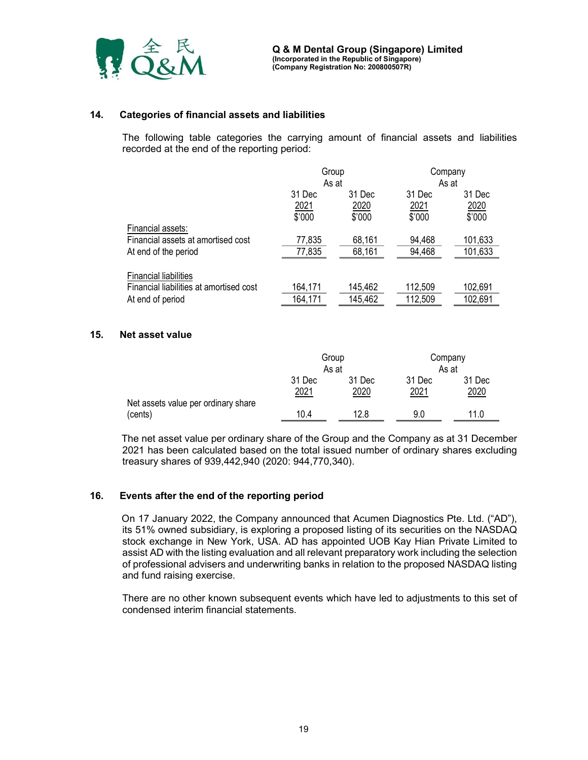

### 14. Categories of financial assets and liabilities

The following table categories the carrying amount of financial assets and liabilities recorded at the end of the reporting period:

|                                                            | Group<br>As at         |                  | Company<br>As at      |                    |
|------------------------------------------------------------|------------------------|------------------|-----------------------|--------------------|
|                                                            | 31 Dec<br><u> 2021</u> | 31 Dec<br>2020   | 31 Dec<br><u>2021</u> | 31 Dec<br>2020     |
| Financial assets:                                          | \$'000                 | \$'000           | \$'000                | \$'000             |
| Financial assets at amortised cost<br>At end of the period | 77,835<br>77,835       | 68,161<br>68,161 | 94,468<br>94,468      | 101,633<br>101,633 |
| <b>Financial liabilities</b>                               |                        |                  |                       |                    |
| Financial liabilities at amortised cost                    | 164,171                | 145,462          | 112,509               | 102,691            |
| At end of period                                           | 164,171                | 145,462          | 112,509               | 102,691            |

### 15. Net asset value

|                                                |                | Group          |                | Company        |
|------------------------------------------------|----------------|----------------|----------------|----------------|
|                                                |                | As at<br>As at |                |                |
|                                                | 31 Dec<br>2021 | 31 Dec<br>2020 | 31 Dec<br>2021 | 31 Dec<br>2020 |
| Net assets value per ordinary share<br>(cents) | 10.4           | 12.8           | 9.0            | 11.0           |

 The net asset value per ordinary share of the Group and the Company as at 31 December 2021 has been calculated based on the total issued number of ordinary shares excluding treasury shares of 939,442,940 (2020: 944,770,340).

### 16. Events after the end of the reporting period

On 17 January 2022, the Company announced that Acumen Diagnostics Pte. Ltd. ("AD"), its 51% owned subsidiary, is exploring a proposed listing of its securities on the NASDAQ stock exchange in New York, USA. AD has appointed UOB Kay Hian Private Limited to assist AD with the listing evaluation and all relevant preparatory work including the selection of professional advisers and underwriting banks in relation to the proposed NASDAQ listing and fund raising exercise.

There are no other known subsequent events which have led to adjustments to this set of condensed interim financial statements.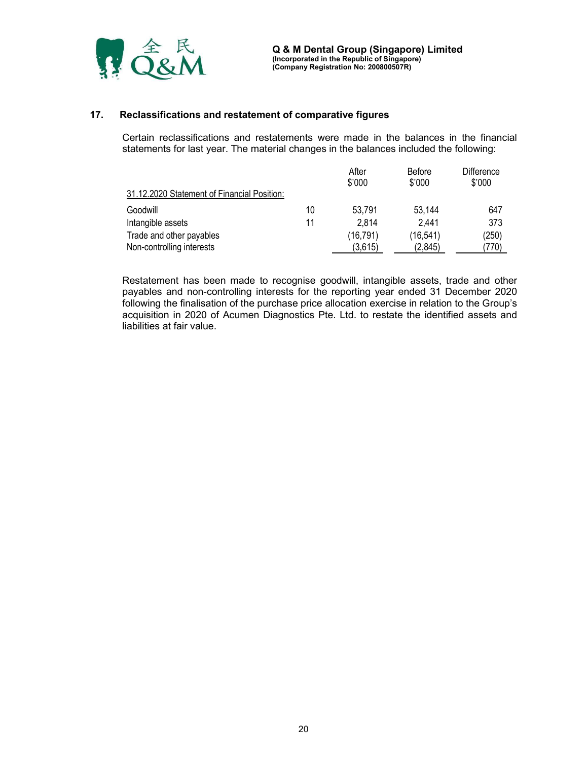

### 17. Reclassifications and restatement of comparative figures

Certain reclassifications and restatements were made in the balances in the financial statements for last year. The material changes in the balances included the following:

|                                             |    | After<br>\$'000 | <b>Before</b><br>\$'000 | Difference<br>\$'000 |
|---------------------------------------------|----|-----------------|-------------------------|----------------------|
| 31.12.2020 Statement of Financial Position: |    |                 |                         |                      |
| Goodwill                                    | 10 | 53,791          | 53,144                  | 647                  |
| Intangible assets                           | 11 | 2.814           | 2,441                   | 373                  |
| Trade and other payables                    |    | (16,791)        | (16, 541)               | (250)                |
| Non-controlling interests                   |    | (3,615)         | (2.845)                 | (770)                |

Restatement has been made to recognise goodwill, intangible assets, trade and other payables and non-controlling interests for the reporting year ended 31 December 2020 following the finalisation of the purchase price allocation exercise in relation to the Group's acquisition in 2020 of Acumen Diagnostics Pte. Ltd. to restate the identified assets and liabilities at fair value.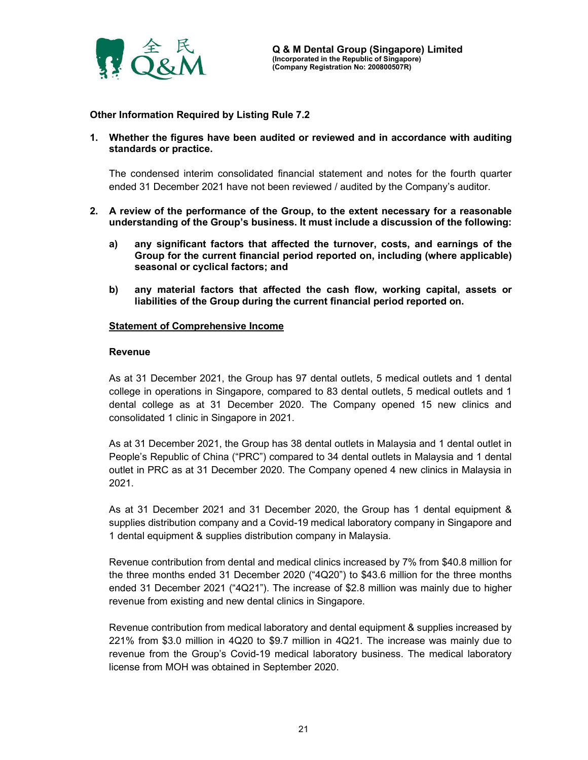

Other Information Required by Listing Rule 7.2

1. Whether the figures have been audited or reviewed and in accordance with auditing standards or practice.

The condensed interim consolidated financial statement and notes for the fourth quarter ended 31 December 2021 have not been reviewed / audited by the Company's auditor.

- 2. A review of the performance of the Group, to the extent necessary for a reasonable understanding of the Group's business. It must include a discussion of the following:
	- a) any significant factors that affected the turnover, costs, and earnings of the Group for the current financial period reported on, including (where applicable) seasonal or cyclical factors; and
	- b) any material factors that affected the cash flow, working capital, assets or liabilities of the Group during the current financial period reported on.

### Statement of Comprehensive Income

#### Revenue

As at 31 December 2021, the Group has 97 dental outlets, 5 medical outlets and 1 dental college in operations in Singapore, compared to 83 dental outlets, 5 medical outlets and 1 dental college as at 31 December 2020. The Company opened 15 new clinics and consolidated 1 clinic in Singapore in 2021.

As at 31 December 2021, the Group has 38 dental outlets in Malaysia and 1 dental outlet in People's Republic of China ("PRC") compared to 34 dental outlets in Malaysia and 1 dental outlet in PRC as at 31 December 2020. The Company opened 4 new clinics in Malaysia in 2021.

As at 31 December 2021 and 31 December 2020, the Group has 1 dental equipment & supplies distribution company and a Covid-19 medical laboratory company in Singapore and 1 dental equipment & supplies distribution company in Malaysia.

Revenue contribution from dental and medical clinics increased by 7% from \$40.8 million for the three months ended 31 December 2020 ("4Q20") to \$43.6 million for the three months ended 31 December 2021 ("4Q21"). The increase of \$2.8 million was mainly due to higher revenue from existing and new dental clinics in Singapore.

Revenue contribution from medical laboratory and dental equipment & supplies increased by 221% from \$3.0 million in 4Q20 to \$9.7 million in 4Q21. The increase was mainly due to revenue from the Group's Covid-19 medical laboratory business. The medical laboratory license from MOH was obtained in September 2020.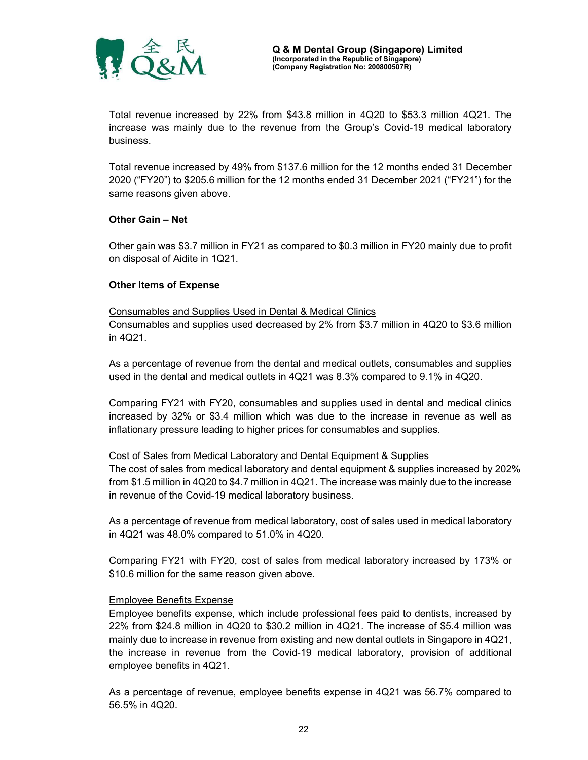

Total revenue increased by 22% from \$43.8 million in 4Q20 to \$53.3 million 4Q21. The increase was mainly due to the revenue from the Group's Covid-19 medical laboratory business.

Total revenue increased by 49% from \$137.6 million for the 12 months ended 31 December 2020 ("FY20") to \$205.6 million for the 12 months ended 31 December 2021 ("FY21") for the same reasons given above.

### Other Gain – Net

Other gain was \$3.7 million in FY21 as compared to \$0.3 million in FY20 mainly due to profit on disposal of Aidite in 1Q21.

### Other Items of Expense

#### Consumables and Supplies Used in Dental & Medical Clinics

Consumables and supplies used decreased by 2% from \$3.7 million in 4Q20 to \$3.6 million in 4Q21.

As a percentage of revenue from the dental and medical outlets, consumables and supplies used in the dental and medical outlets in 4Q21 was 8.3% compared to 9.1% in 4Q20.

Comparing FY21 with FY20, consumables and supplies used in dental and medical clinics increased by 32% or \$3.4 million which was due to the increase in revenue as well as inflationary pressure leading to higher prices for consumables and supplies.

#### Cost of Sales from Medical Laboratory and Dental Equipment & Supplies

The cost of sales from medical laboratory and dental equipment & supplies increased by 202% from \$1.5 million in 4Q20 to \$4.7 million in 4Q21. The increase was mainly due to the increase in revenue of the Covid-19 medical laboratory business.

As a percentage of revenue from medical laboratory, cost of sales used in medical laboratory in 4Q21 was 48.0% compared to 51.0% in 4Q20.

Comparing FY21 with FY20, cost of sales from medical laboratory increased by 173% or \$10.6 million for the same reason given above.

#### Employee Benefits Expense

Employee benefits expense, which include professional fees paid to dentists, increased by 22% from \$24.8 million in 4Q20 to \$30.2 million in 4Q21. The increase of \$5.4 million was mainly due to increase in revenue from existing and new dental outlets in Singapore in 4Q21, the increase in revenue from the Covid-19 medical laboratory, provision of additional employee benefits in 4Q21.

As a percentage of revenue, employee benefits expense in 4Q21 was 56.7% compared to 56.5% in 4Q20.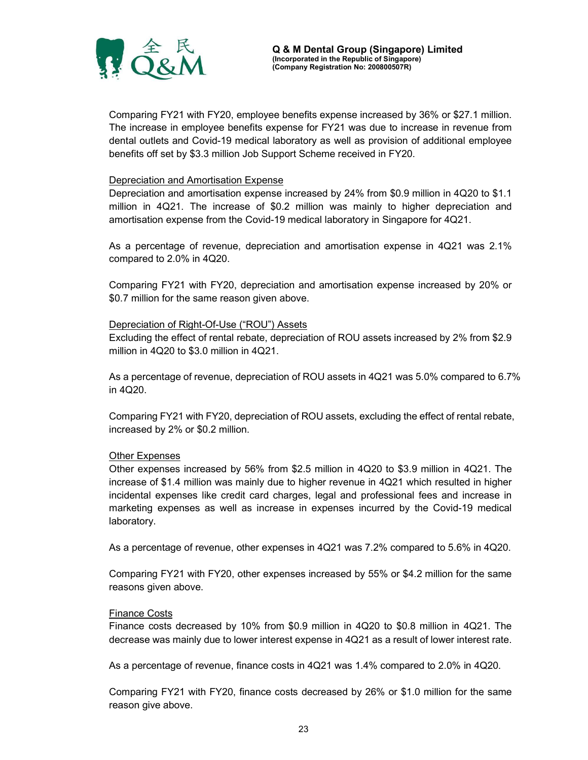

Comparing FY21 with FY20, employee benefits expense increased by 36% or \$27.1 million. The increase in employee benefits expense for FY21 was due to increase in revenue from dental outlets and Covid-19 medical laboratory as well as provision of additional employee benefits off set by \$3.3 million Job Support Scheme received in FY20.

#### Depreciation and Amortisation Expense

Depreciation and amortisation expense increased by 24% from \$0.9 million in 4Q20 to \$1.1 million in 4Q21. The increase of \$0.2 million was mainly to higher depreciation and amortisation expense from the Covid-19 medical laboratory in Singapore for 4Q21.

As a percentage of revenue, depreciation and amortisation expense in 4Q21 was 2.1% compared to 2.0% in 4Q20.

Comparing FY21 with FY20, depreciation and amortisation expense increased by 20% or \$0.7 million for the same reason given above.

### Depreciation of Right-Of-Use ("ROU") Assets

Excluding the effect of rental rebate, depreciation of ROU assets increased by 2% from \$2.9 million in 4Q20 to \$3.0 million in 4Q21.

As a percentage of revenue, depreciation of ROU assets in 4Q21 was 5.0% compared to 6.7% in 4Q20.

Comparing FY21 with FY20, depreciation of ROU assets, excluding the effect of rental rebate, increased by 2% or \$0.2 million.

### Other Expenses

Other expenses increased by 56% from \$2.5 million in 4Q20 to \$3.9 million in 4Q21. The increase of \$1.4 million was mainly due to higher revenue in 4Q21 which resulted in higher incidental expenses like credit card charges, legal and professional fees and increase in marketing expenses as well as increase in expenses incurred by the Covid-19 medical laboratory.

As a percentage of revenue, other expenses in 4Q21 was 7.2% compared to 5.6% in 4Q20.

Comparing FY21 with FY20, other expenses increased by 55% or \$4.2 million for the same reasons given above.

#### Finance Costs

Finance costs decreased by 10% from \$0.9 million in 4Q20 to \$0.8 million in 4Q21. The decrease was mainly due to lower interest expense in 4Q21 as a result of lower interest rate.

As a percentage of revenue, finance costs in 4Q21 was 1.4% compared to 2.0% in 4Q20.

Comparing FY21 with FY20, finance costs decreased by 26% or \$1.0 million for the same reason give above.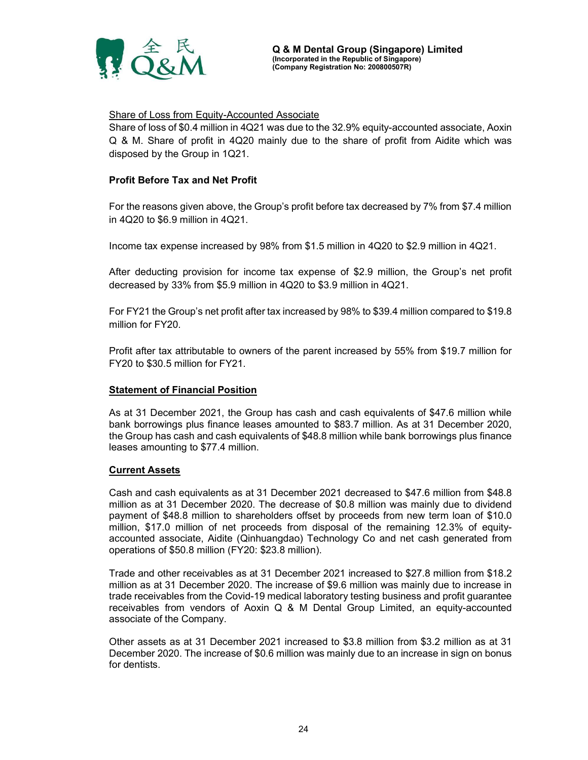

### Share of Loss from Equity-Accounted Associate

Share of loss of \$0.4 million in 4Q21 was due to the 32.9% equity-accounted associate, Aoxin Q & M. Share of profit in 4Q20 mainly due to the share of profit from Aidite which was disposed by the Group in 1Q21.

### Profit Before Tax and Net Profit

For the reasons given above, the Group's profit before tax decreased by 7% from \$7.4 million in 4Q20 to \$6.9 million in 4Q21.

Income tax expense increased by 98% from \$1.5 million in 4Q20 to \$2.9 million in 4Q21.

After deducting provision for income tax expense of \$2.9 million, the Group's net profit decreased by 33% from \$5.9 million in 4Q20 to \$3.9 million in 4Q21.

For FY21 the Group's net profit after tax increased by 98% to \$39.4 million compared to \$19.8 million for FY20.

Profit after tax attributable to owners of the parent increased by 55% from \$19.7 million for FY20 to \$30.5 million for FY21.

#### **Statement of Financial Position**

As at 31 December 2021, the Group has cash and cash equivalents of \$47.6 million while bank borrowings plus finance leases amounted to \$83.7 million. As at 31 December 2020, the Group has cash and cash equivalents of \$48.8 million while bank borrowings plus finance leases amounting to \$77.4 million.

#### Current Assets

Cash and cash equivalents as at 31 December 2021 decreased to \$47.6 million from \$48.8 million as at 31 December 2020. The decrease of \$0.8 million was mainly due to dividend payment of \$48.8 million to shareholders offset by proceeds from new term loan of \$10.0 million, \$17.0 million of net proceeds from disposal of the remaining 12.3% of equityaccounted associate, Aidite (Qinhuangdao) Technology Co and net cash generated from operations of \$50.8 million (FY20: \$23.8 million).

Trade and other receivables as at 31 December 2021 increased to \$27.8 million from \$18.2 million as at 31 December 2020. The increase of \$9.6 million was mainly due to increase in trade receivables from the Covid-19 medical laboratory testing business and profit guarantee receivables from vendors of Aoxin Q & M Dental Group Limited, an equity-accounted associate of the Company.

Other assets as at 31 December 2021 increased to \$3.8 million from \$3.2 million as at 31 December 2020. The increase of \$0.6 million was mainly due to an increase in sign on bonus for dentists.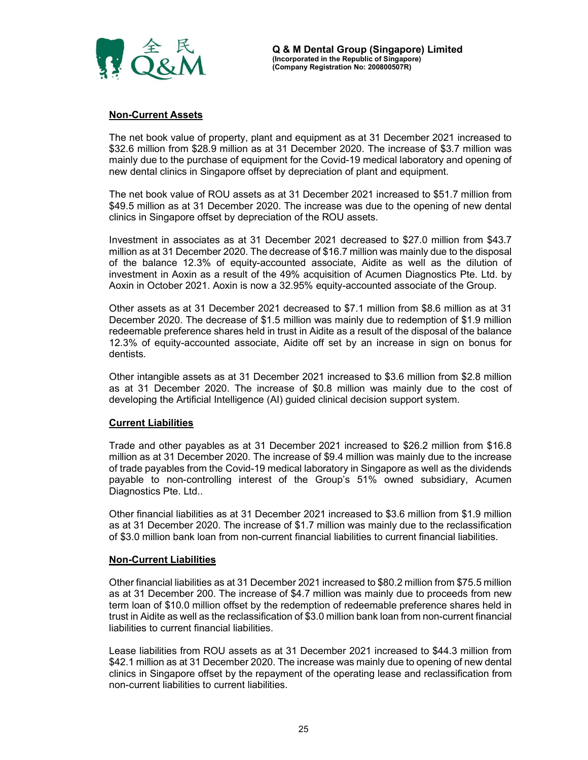

### Non-Current Assets

The net book value of property, plant and equipment as at 31 December 2021 increased to \$32.6 million from \$28.9 million as at 31 December 2020. The increase of \$3.7 million was mainly due to the purchase of equipment for the Covid-19 medical laboratory and opening of new dental clinics in Singapore offset by depreciation of plant and equipment.

The net book value of ROU assets as at 31 December 2021 increased to \$51.7 million from \$49.5 million as at 31 December 2020. The increase was due to the opening of new dental clinics in Singapore offset by depreciation of the ROU assets.

Investment in associates as at 31 December 2021 decreased to \$27.0 million from \$43.7 million as at 31 December 2020. The decrease of \$16.7 million was mainly due to the disposal of the balance 12.3% of equity-accounted associate, Aidite as well as the dilution of investment in Aoxin as a result of the 49% acquisition of Acumen Diagnostics Pte. Ltd. by Aoxin in October 2021. Aoxin is now a 32.95% equity-accounted associate of the Group.

Other assets as at 31 December 2021 decreased to \$7.1 million from \$8.6 million as at 31 December 2020. The decrease of \$1.5 million was mainly due to redemption of \$1.9 million redeemable preference shares held in trust in Aidite as a result of the disposal of the balance 12.3% of equity-accounted associate, Aidite off set by an increase in sign on bonus for dentists.

Other intangible assets as at 31 December 2021 increased to \$3.6 million from \$2.8 million as at 31 December 2020. The increase of \$0.8 million was mainly due to the cost of developing the Artificial Intelligence (AI) guided clinical decision support system.

#### Current Liabilities

Trade and other payables as at 31 December 2021 increased to \$26.2 million from \$16.8 million as at 31 December 2020. The increase of \$9.4 million was mainly due to the increase of trade payables from the Covid-19 medical laboratory in Singapore as well as the dividends payable to non-controlling interest of the Group's 51% owned subsidiary, Acumen Diagnostics Pte. Ltd..

Other financial liabilities as at 31 December 2021 increased to \$3.6 million from \$1.9 million as at 31 December 2020. The increase of \$1.7 million was mainly due to the reclassification of \$3.0 million bank loan from non-current financial liabilities to current financial liabilities.

#### Non-Current Liabilities

Other financial liabilities as at 31 December 2021 increased to \$80.2 million from \$75.5 million as at 31 December 200. The increase of \$4.7 million was mainly due to proceeds from new term loan of \$10.0 million offset by the redemption of redeemable preference shares held in trust in Aidite as well as the reclassification of \$3.0 million bank loan from non-current financial liabilities to current financial liabilities.

Lease liabilities from ROU assets as at 31 December 2021 increased to \$44.3 million from \$42.1 million as at 31 December 2020. The increase was mainly due to opening of new dental clinics in Singapore offset by the repayment of the operating lease and reclassification from non-current liabilities to current liabilities.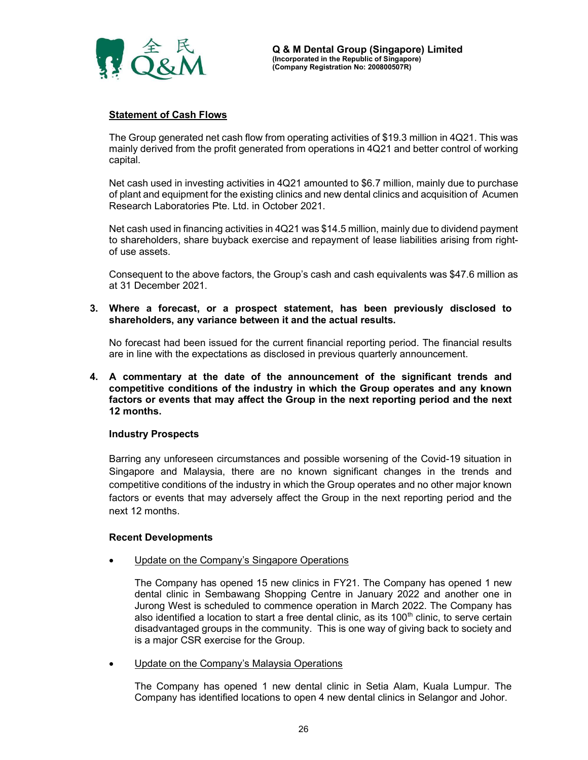

### Statement of Cash Flows

The Group generated net cash flow from operating activities of \$19.3 million in 4Q21. This was mainly derived from the profit generated from operations in 4Q21 and better control of working capital.

Net cash used in investing activities in 4Q21 amounted to \$6.7 million, mainly due to purchase of plant and equipment for the existing clinics and new dental clinics and acquisition of Acumen Research Laboratories Pte. Ltd. in October 2021.

Net cash used in financing activities in 4Q21 was \$14.5 million, mainly due to dividend payment to shareholders, share buyback exercise and repayment of lease liabilities arising from rightof use assets.

Consequent to the above factors, the Group's cash and cash equivalents was \$47.6 million as at 31 December 2021.

3. Where a forecast, or a prospect statement, has been previously disclosed to shareholders, any variance between it and the actual results.

No forecast had been issued for the current financial reporting period. The financial results are in line with the expectations as disclosed in previous quarterly announcement.

4. A commentary at the date of the announcement of the significant trends and competitive conditions of the industry in which the Group operates and any known factors or events that may affect the Group in the next reporting period and the next 12 months.

#### Industry Prospects

Barring any unforeseen circumstances and possible worsening of the Covid-19 situation in Singapore and Malaysia, there are no known significant changes in the trends and competitive conditions of the industry in which the Group operates and no other major known factors or events that may adversely affect the Group in the next reporting period and the next 12 months.

### Recent Developments

Update on the Company's Singapore Operations

The Company has opened 15 new clinics in FY21. The Company has opened 1 new dental clinic in Sembawang Shopping Centre in January 2022 and another one in Jurong West is scheduled to commence operation in March 2022. The Company has also identified a location to start a free dental clinic, as its 100<sup>th</sup> clinic, to serve certain disadvantaged groups in the community. This is one way of giving back to society and is a major CSR exercise for the Group.

• Update on the Company's Malaysia Operations

The Company has opened 1 new dental clinic in Setia Alam, Kuala Lumpur. The Company has identified locations to open 4 new dental clinics in Selangor and Johor.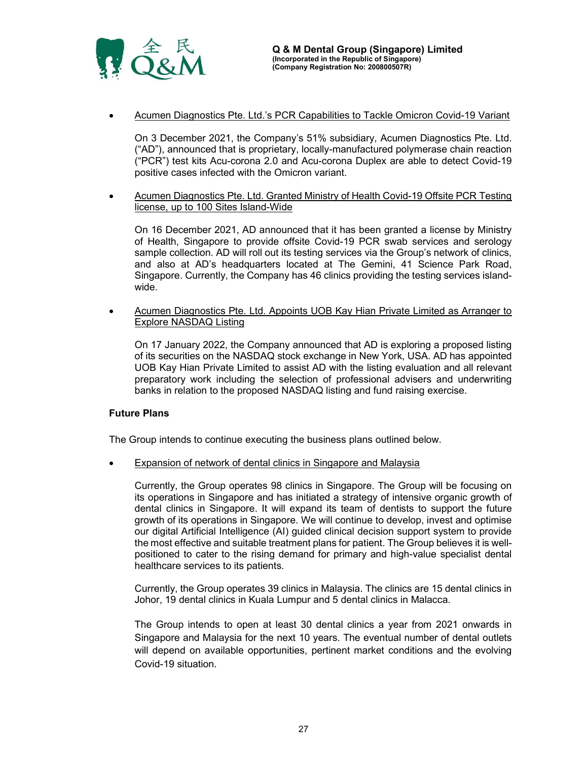

Acumen Diagnostics Pte. Ltd.'s PCR Capabilities to Tackle Omicron Covid-19 Variant

On 3 December 2021, the Company's 51% subsidiary, Acumen Diagnostics Pte. Ltd. ("AD"), announced that is proprietary, locally-manufactured polymerase chain reaction ("PCR") test kits Acu-corona 2.0 and Acu-corona Duplex are able to detect Covid-19 positive cases infected with the Omicron variant.

 Acumen Diagnostics Pte. Ltd. Granted Ministry of Health Covid-19 Offsite PCR Testing license, up to 100 Sites Island-Wide

On 16 December 2021, AD announced that it has been granted a license by Ministry of Health, Singapore to provide offsite Covid-19 PCR swab services and serology sample collection. AD will roll out its testing services via the Group's network of clinics, and also at AD's headquarters located at The Gemini, 41 Science Park Road, Singapore. Currently, the Company has 46 clinics providing the testing services islandwide.

• Acumen Diagnostics Pte. Ltd. Appoints UOB Kay Hian Private Limited as Arranger to Explore NASDAQ Listing

On 17 January 2022, the Company announced that AD is exploring a proposed listing of its securities on the NASDAQ stock exchange in New York, USA. AD has appointed UOB Kay Hian Private Limited to assist AD with the listing evaluation and all relevant preparatory work including the selection of professional advisers and underwriting banks in relation to the proposed NASDAQ listing and fund raising exercise.

### Future Plans

The Group intends to continue executing the business plans outlined below.

Expansion of network of dental clinics in Singapore and Malaysia

Currently, the Group operates 98 clinics in Singapore. The Group will be focusing on its operations in Singapore and has initiated a strategy of intensive organic growth of dental clinics in Singapore. It will expand its team of dentists to support the future growth of its operations in Singapore. We will continue to develop, invest and optimise our digital Artificial Intelligence (AI) guided clinical decision support system to provide the most effective and suitable treatment plans for patient. The Group believes it is wellpositioned to cater to the rising demand for primary and high-value specialist dental healthcare services to its patients.

Currently, the Group operates 39 clinics in Malaysia. The clinics are 15 dental clinics in Johor, 19 dental clinics in Kuala Lumpur and 5 dental clinics in Malacca.

The Group intends to open at least 30 dental clinics a year from 2021 onwards in Singapore and Malaysia for the next 10 years. The eventual number of dental outlets will depend on available opportunities, pertinent market conditions and the evolving Covid-19 situation.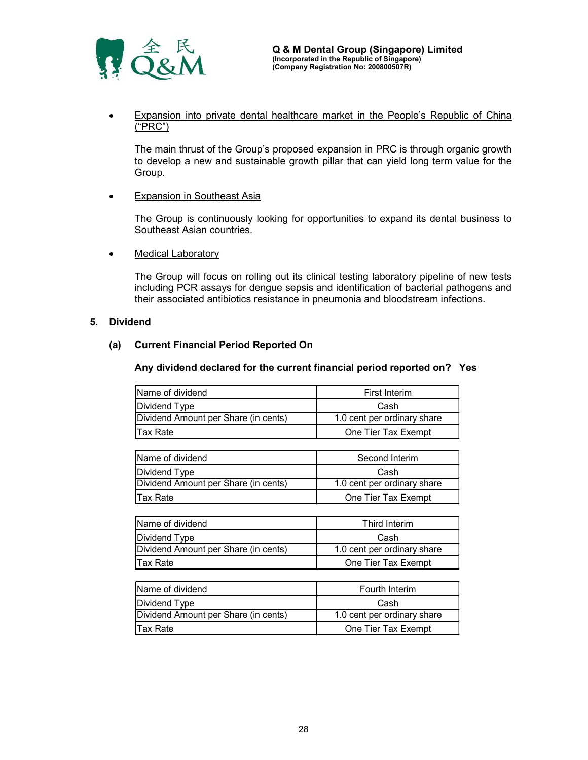

 Expansion into private dental healthcare market in the People's Republic of China ("PRC")

### Expansion in Southeast Asia

• Medical Laboratory

### 5. Dividend

### (a) Current Financial Period Reported On

#### Any dividend declared for the current financial period reported on? Yes

| The main thrust of the Group's proposed expansion in PRC is through organic growth<br>to develop a new and sustainable growth pillar that can yield long term value for the<br>Group.                                                                                 |                             |  |
|-----------------------------------------------------------------------------------------------------------------------------------------------------------------------------------------------------------------------------------------------------------------------|-----------------------------|--|
| <b>Expansion in Southeast Asia</b>                                                                                                                                                                                                                                    |                             |  |
| The Group is continuously looking for opportunities to expand its dental business to<br>Southeast Asian countries.                                                                                                                                                    |                             |  |
| <b>Medical Laboratory</b>                                                                                                                                                                                                                                             |                             |  |
| The Group will focus on rolling out its clinical testing laboratory pipeline of new tests<br>including PCR assays for dengue sepsis and identification of bacterial pathogens and<br>their associated antibiotics resistance in pneumonia and bloodstream infections. |                             |  |
| end                                                                                                                                                                                                                                                                   |                             |  |
| <b>Current Financial Period Reported On</b>                                                                                                                                                                                                                           |                             |  |
| Any dividend declared for the current financial period reported on? Yes                                                                                                                                                                                               |                             |  |
| Name of dividend                                                                                                                                                                                                                                                      | <b>First Interim</b>        |  |
| Dividend Type                                                                                                                                                                                                                                                         | Cash                        |  |
| Dividend Amount per Share (in cents)                                                                                                                                                                                                                                  | 1.0 cent per ordinary share |  |
| <b>Tax Rate</b>                                                                                                                                                                                                                                                       | One Tier Tax Exempt         |  |
|                                                                                                                                                                                                                                                                       |                             |  |
| Name of dividend                                                                                                                                                                                                                                                      | Second Interim              |  |
| Dividend Type                                                                                                                                                                                                                                                         | Cash                        |  |
| Dividend Amount per Share (in cents)                                                                                                                                                                                                                                  | 1.0 cent per ordinary share |  |
|                                                                                                                                                                                                                                                                       |                             |  |

| The Group is continuously looking for opportunities to expand its dental business to<br>Southeast Asian countries.                                                                                                                                                    |                             |  |
|-----------------------------------------------------------------------------------------------------------------------------------------------------------------------------------------------------------------------------------------------------------------------|-----------------------------|--|
| <b>Medical Laboratory</b>                                                                                                                                                                                                                                             |                             |  |
| The Group will focus on rolling out its clinical testing laboratory pipeline of new tests<br>including PCR assays for dengue sepsis and identification of bacterial pathogens and<br>their associated antibiotics resistance in pneumonia and bloodstream infections. |                             |  |
| end                                                                                                                                                                                                                                                                   |                             |  |
| <b>Current Financial Period Reported On</b>                                                                                                                                                                                                                           |                             |  |
| Any dividend declared for the current financial period reported on? Yes                                                                                                                                                                                               |                             |  |
| Name of dividend                                                                                                                                                                                                                                                      | <b>First Interim</b>        |  |
| Dividend Type                                                                                                                                                                                                                                                         | Cash                        |  |
| Dividend Amount per Share (in cents)                                                                                                                                                                                                                                  | 1.0 cent per ordinary share |  |
| <b>Tax Rate</b>                                                                                                                                                                                                                                                       | One Tier Tax Exempt         |  |
|                                                                                                                                                                                                                                                                       |                             |  |
| Name of dividend                                                                                                                                                                                                                                                      | Second Interim              |  |
| Dividend Type                                                                                                                                                                                                                                                         | Cash                        |  |
| Dividend Amount per Share (in cents)                                                                                                                                                                                                                                  | 1.0 cent per ordinary share |  |
| <b>Tax Rate</b>                                                                                                                                                                                                                                                       | One Tier Tax Exempt         |  |
|                                                                                                                                                                                                                                                                       |                             |  |
| Name of dividend                                                                                                                                                                                                                                                      | Third Interim               |  |
| Dividend Type                                                                                                                                                                                                                                                         | Cash                        |  |
| Dividend Amount per Share (in cents)                                                                                                                                                                                                                                  | 1.0 cent per ordinary share |  |
| <b>Tax Rate</b>                                                                                                                                                                                                                                                       | One Tier Tax Exempt         |  |
|                                                                                                                                                                                                                                                                       |                             |  |
| Name of dividend                                                                                                                                                                                                                                                      | Fourth Interim              |  |
| Dividend Type                                                                                                                                                                                                                                                         | Cash                        |  |
| Dividend Amount per Share (in cents)                                                                                                                                                                                                                                  | 1.0 cent per ordinary share |  |
|                                                                                                                                                                                                                                                                       |                             |  |

| Name of dividend                     | Third Interim               |
|--------------------------------------|-----------------------------|
| Dividend Type                        | Cash                        |
| Dividend Amount per Share (in cents) | 1.0 cent per ordinary share |
| <b>Tax Rate</b>                      | One Tier Tax Exempt         |

| Name of dividend                     | <b>First Interim</b>        |
|--------------------------------------|-----------------------------|
| Dividend Type                        | Cash                        |
| Dividend Amount per Share (in cents) | 1.0 cent per ordinary share |
| <b>Tax Rate</b>                      | One Tier Tax Exempt         |
|                                      |                             |
| Name of dividend                     | Second Interim              |
| Dividend Type                        | Cash                        |
| Dividend Amount per Share (in cents) | 1.0 cent per ordinary share |
| <b>Tax Rate</b>                      | One Tier Tax Exempt         |
|                                      |                             |
| Name of dividend                     | Third Interim               |
| Dividend Type                        | Cash                        |
| Dividend Amount per Share (in cents) | 1.0 cent per ordinary share |
| <b>Tax Rate</b>                      | One Tier Tax Exempt         |
|                                      |                             |
| Name of dividend                     | Fourth Interim              |
| Dividend Type                        | Cash                        |
| Dividend Amount per Share (in cents) | 1.0 cent per ordinary share |
| <b>Tax Rate</b>                      | One Tier Tax Exempt         |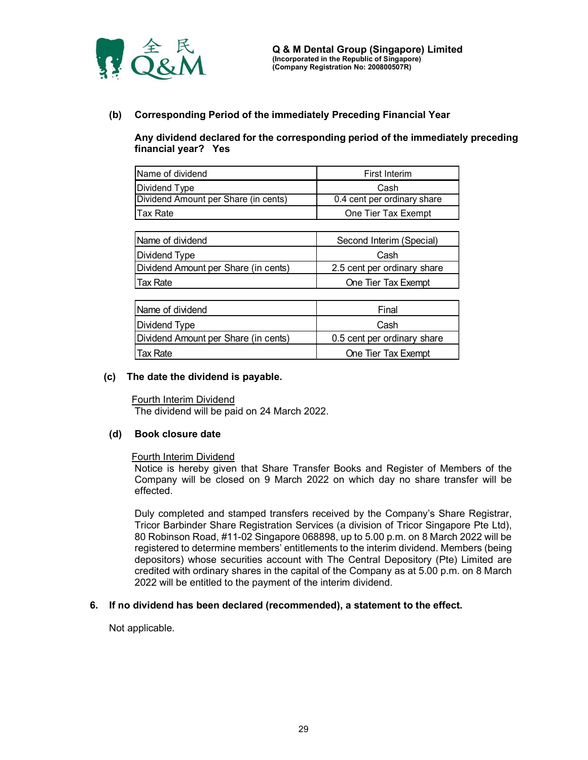

### (b) Corresponding Period of the immediately Preceding Financial Year

| 全民                                                    | Q & M Dental Group (Singapore) Limited<br>(Incorporated in the Republic of Singapore)<br>(Company Registration No: 200800507R)<br>Corresponding Period of the immediately Preceding Financial Year |  |
|-------------------------------------------------------|----------------------------------------------------------------------------------------------------------------------------------------------------------------------------------------------------|--|
| financial year? Yes                                   | Any dividend declared for the corresponding period of the immediately preceding                                                                                                                    |  |
|                                                       |                                                                                                                                                                                                    |  |
| Name of dividend                                      | <b>First Interim</b>                                                                                                                                                                               |  |
|                                                       | Cash                                                                                                                                                                                               |  |
| Dividend Type<br>Dividend Amount per Share (in cents) | 0.4 cent per ordinary share                                                                                                                                                                        |  |
| <b>Tax Rate</b>                                       | One Tier Tax Exempt                                                                                                                                                                                |  |
|                                                       |                                                                                                                                                                                                    |  |
| Name of dividend                                      | Second Interim (Special)                                                                                                                                                                           |  |
| Dividend Type                                         | Cash                                                                                                                                                                                               |  |
| Dividend Amount per Share (in cents)                  | 2.5 cent per ordinary share                                                                                                                                                                        |  |

|                                                                                                                                                                                   | Q & M Dental Group (Singapore) Limited<br>(Incorporated in the Republic of Singapore)<br>(Company Registration No: 200800507R) |
|-----------------------------------------------------------------------------------------------------------------------------------------------------------------------------------|--------------------------------------------------------------------------------------------------------------------------------|
| <b>Corresponding Period of the immediately Preceding Financial Year</b><br>Any dividend declared for the corresponding period of the immediately preceding<br>financial year? Yes |                                                                                                                                |
| Name of dividend                                                                                                                                                                  | <b>First Interim</b>                                                                                                           |
| Dividend Type                                                                                                                                                                     | Cash                                                                                                                           |
| Dividend Amount per Share (in cents)                                                                                                                                              | 0.4 cent per ordinary share                                                                                                    |
| <b>Tax Rate</b>                                                                                                                                                                   | One Tier Tax Exempt                                                                                                            |
|                                                                                                                                                                                   |                                                                                                                                |
| Name of dividend                                                                                                                                                                  | Second Interim (Special)                                                                                                       |
| Dividend Type                                                                                                                                                                     | Cash                                                                                                                           |
| Dividend Amount per Share (in cents)                                                                                                                                              | 2.5 cent per ordinary share                                                                                                    |
| <b>Tax Rate</b>                                                                                                                                                                   | One Tier Tax Exempt                                                                                                            |
|                                                                                                                                                                                   |                                                                                                                                |
| Name of dividend                                                                                                                                                                  | Final                                                                                                                          |
| Dividend Type                                                                                                                                                                     | Cash                                                                                                                           |
| Dividend Amount per Share (in cents)                                                                                                                                              | 0.5 cent per ordinary share                                                                                                    |

| <b>Corresponding Period of the immediately Preceding Financial Year</b>                                |                             |
|--------------------------------------------------------------------------------------------------------|-----------------------------|
| Any dividend declared for the corresponding period of the immediately preceding<br>financial year? Yes |                             |
| Name of dividend                                                                                       | <b>First Interim</b>        |
| Dividend Type                                                                                          | Cash                        |
| Dividend Amount per Share (in cents)                                                                   | 0.4 cent per ordinary share |
| <b>Tax Rate</b>                                                                                        | One Tier Tax Exempt         |
|                                                                                                        |                             |
| Name of dividend                                                                                       | Second Interim (Special)    |
| Dividend Type                                                                                          | Cash                        |
| Dividend Amount per Share (in cents)                                                                   | 2.5 cent per ordinary share |
| <b>Tax Rate</b>                                                                                        | One Tier Tax Exempt         |
|                                                                                                        |                             |
| Name of dividend                                                                                       | Final                       |
| Dividend Type                                                                                          | Cash                        |
| Dividend Amount per Share (in cents)                                                                   | 0.5 cent per ordinary share |
| <b>Tax Rate</b>                                                                                        | One Tier Tax Exempt         |

### (c) The date the dividend is payable.

### (d) Book closure date

#### Fourth Interim Dividend

Notice is hereby given that Share Transfer Books and Register of Members of the Company will be closed on 9 March 2022 on which day no share transfer will be effected.

Duly completed and stamped transfers received by the Company's Share Registrar, Tricor Barbinder Share Registration Services (a division of Tricor Singapore Pte Ltd), 80 Robinson Road, #11-02 Singapore 068898, up to 5.00 p.m. on 8 March 2022 will be registered to determine members' entitlements to the interim dividend. Members (being depositors) whose securities account with The Central Depository (Pte) Limited are credited with ordinary shares in the capital of the Company as at 5.00 p.m. on 8 March 2022 will be entitled to the payment of the interim dividend.

#### 6. If no dividend has been declared (recommended), a statement to the effect.

Not applicable.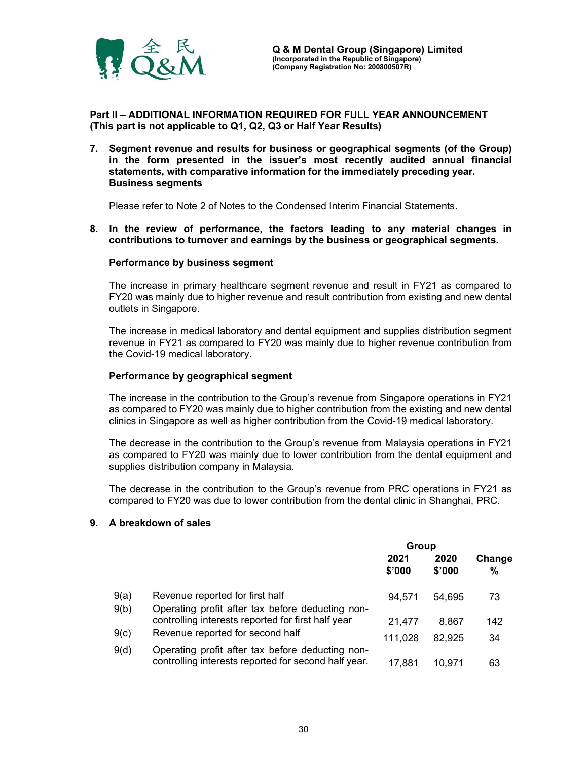

Part II – ADDITIONAL INFORMATION REQUIRED FOR FULL YEAR ANNOUNCEMENT (This part is not applicable to Q1, Q2, Q3 or Half Year Results)

7. Segment revenue and results for business or geographical segments (of the Group) in the form presented in the issuer's most recently audited annual financial statements, with comparative information for the immediately preceding year. Business segments

Please refer to Note 2 of Notes to the Condensed Interim Financial Statements.

8. In the review of performance, the factors leading to any material changes in contributions to turnover and earnings by the business or geographical segments.

#### Performance by business segment

The increase in primary healthcare segment revenue and result in FY21 as compared to FY20 was mainly due to higher revenue and result contribution from existing and new dental outlets in Singapore.

The increase in medical laboratory and dental equipment and supplies distribution segment revenue in FY21 as compared to FY20 was mainly due to higher revenue contribution from the Covid-19 medical laboratory.

#### Performance by geographical segment

The increase in the contribution to the Group's revenue from Singapore operations in FY21 as compared to FY20 was mainly due to higher contribution from the existing and new dental clinics in Singapore as well as higher contribution from the Covid-19 medical laboratory.

The decrease in the contribution to the Group's revenue from Malaysia operations in FY21 as compared to FY20 was mainly due to lower contribution from the dental equipment and supplies distribution company in Malaysia.

The decrease in the contribution to the Group's revenue from PRC operations in FY21 as compared to FY20 was due to lower contribution from the dental clinic in Shanghai, PRC.

#### 9. A breakdown of sales

|      |                                                                                                          | Group          |                |                         |
|------|----------------------------------------------------------------------------------------------------------|----------------|----------------|-------------------------|
|      |                                                                                                          | 2021<br>\$'000 | 2020<br>\$'000 | Change<br>$\frac{9}{6}$ |
| 9(a) | Revenue reported for first half                                                                          | 94.571         | 54,695         | 73                      |
| 9(b) | Operating profit after tax before deducting non-<br>controlling interests reported for first half year   | 21.477         | 8.867          | 142                     |
| 9(c) | Revenue reported for second half                                                                         | 111,028        | 82,925         | 34                      |
| 9(d) | Operating profit after tax before deducting non-<br>controlling interests reported for second half year. | 17,881         | 10.971         | 63                      |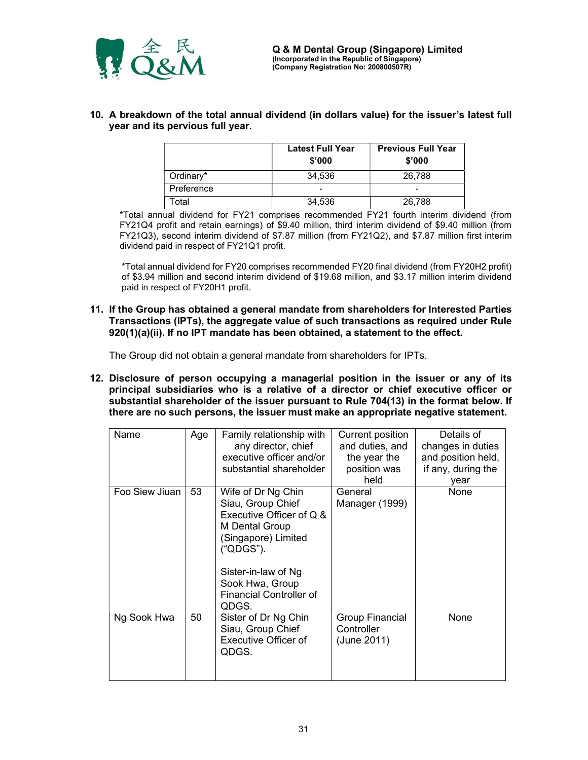

10. A breakdown of the total annual dividend (in dollars value) for the issuer's latest full year and its pervious full year.

|            | <b>Latest Full Year</b><br>\$'000 | <b>Previous Full Year</b><br>\$'000 |
|------------|-----------------------------------|-------------------------------------|
| Ordinary*  | 34.536                            | 26.788                              |
| Preference | -                                 | -                                   |
| Total      | 34,536                            | 26,788                              |

\*Total annual dividend for FY21 comprises recommended FY21 fourth interim dividend (from FY21Q4 profit and retain earnings) of \$9.40 million, third interim dividend of \$9.40 million (from FY21Q3), second interim dividend of \$7.87 million (from FY21Q2), and \$7.87 million first interim dividend paid in respect of FY21Q1 profit.

\*Total annual dividend for FY20 comprises recommended FY20 final dividend (from FY20H2 profit) of \$3.94 million and second interim dividend of \$19.68 million, and \$3.17 million interim dividend paid in respect of FY20H1 profit.

11. If the Group has obtained a general mandate from shareholders for Interested Parties Transactions (IPTs), the aggregate value of such transactions as required under Rule 920(1)(a)(ii). If no IPT mandate has been obtained, a statement to the effect.

The Group did not obtain a general mandate from shareholders for IPTs.

12. Disclosure of person occupying a managerial position in the issuer or any of its principal subsidiaries who is a relative of a director or chief executive officer or substantial shareholder of the issuer pursuant to Rule 704(13) in the format below. If there are no such persons, the issuer must make an appropriate negative statement.

| Name           | Age | Family relationship with       | Current position | Details of         |
|----------------|-----|--------------------------------|------------------|--------------------|
|                |     | any director, chief            | and duties, and  | changes in duties  |
|                |     | executive officer and/or       | the year the     | and position held, |
|                |     | substantial shareholder        | position was     | if any, during the |
|                |     |                                | held             | year               |
| Foo Siew Jiuan | 53  | Wife of Dr Ng Chin             | General          | None               |
|                |     | Siau, Group Chief              | Manager (1999)   |                    |
|                |     | Executive Officer of Q &       |                  |                    |
|                |     | M Dental Group                 |                  |                    |
|                |     | (Singapore) Limited            |                  |                    |
|                |     | ("QDGS").                      |                  |                    |
|                |     |                                |                  |                    |
|                |     | Sister-in-law of Ng            |                  |                    |
|                |     | Sook Hwa, Group                |                  |                    |
|                |     | <b>Financial Controller of</b> |                  |                    |
|                |     | QDGS.                          |                  |                    |
| Ng Sook Hwa    | 50  | Sister of Dr Ng Chin           | Group Financial  | None               |
|                |     | Siau, Group Chief              | Controller       |                    |
|                |     | Executive Officer of           | (June 2011)      |                    |
|                |     | QDGS.                          |                  |                    |
|                |     |                                |                  |                    |
|                |     |                                |                  |                    |